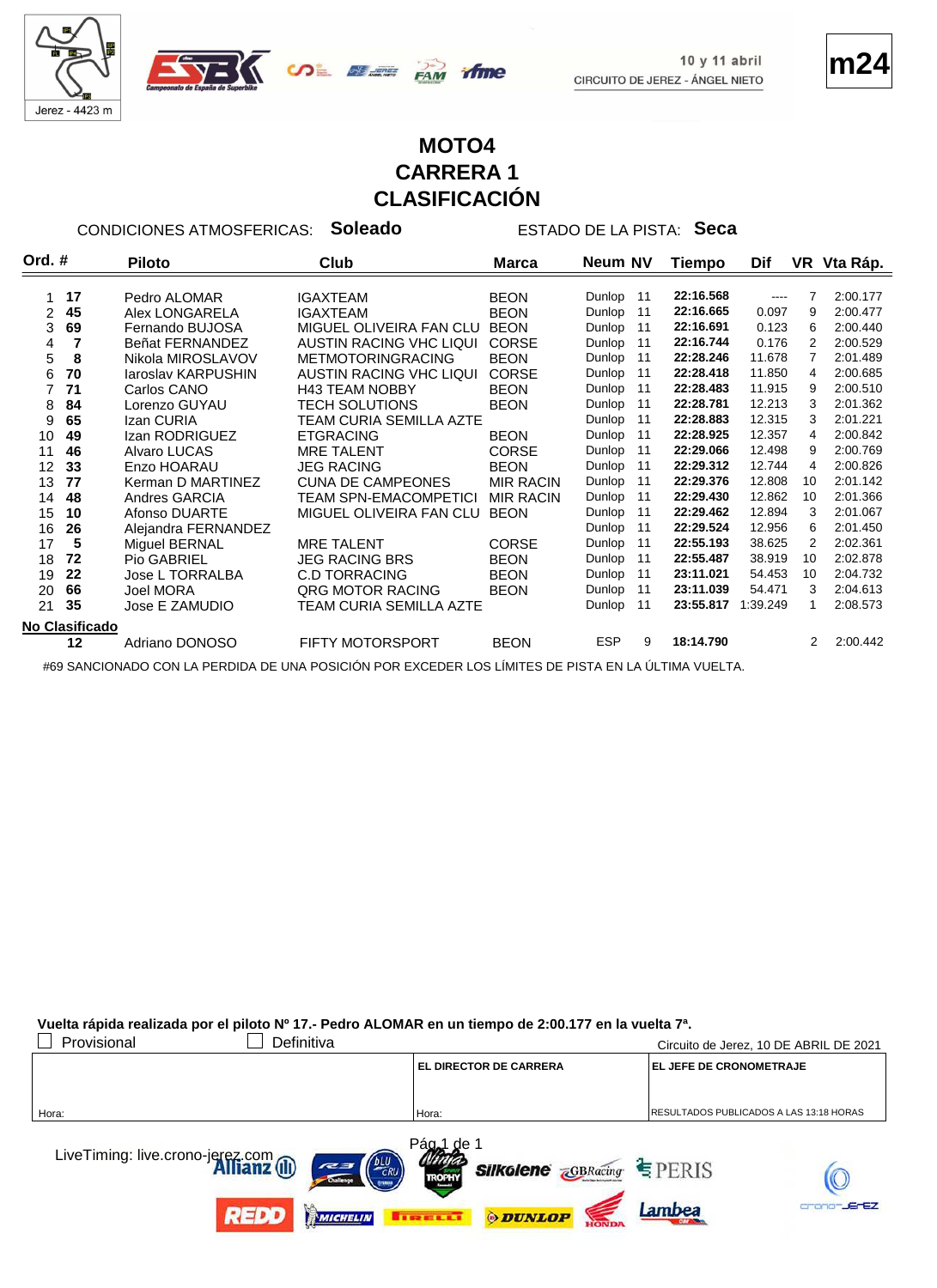



**m24**

## **MOTO4 CARRERA 1 CLASIFICACIÓN**

CONDICIONES ATMOSFERICAS: **Soleado** ESTADO DE LA PISTA: **Seca**

| Ord. $#$ |                | <b>Piloto</b>             | Club                     | <b>Marca</b>     | <b>Neum NV</b> |    | Tiempo    | Dif      |    | VR Vta Ráp. |
|----------|----------------|---------------------------|--------------------------|------------------|----------------|----|-----------|----------|----|-------------|
|          |                |                           |                          |                  |                |    |           |          |    |             |
|          | 17             | Pedro ALOMAR              | <b>IGAXTEAM</b>          | <b>BEON</b>      | Dunlop         | 11 | 22:16.568 | $\cdots$ |    | 2:00.177    |
| 2        | 45             | Alex LONGARELA            | <b>IGAXTEAM</b>          | <b>BEON</b>      | Dunlop         | 11 | 22:16.665 | 0.097    | 9  | 2:00.477    |
| 3        | 69             | Fernando BUJOSA           | MIGUEL OLIVEIRA FAN CLU  | <b>BEON</b>      | Dunlop         | 11 | 22:16.691 | 0.123    | 6  | 2:00.440    |
| 4        |                | Beñat FERNANDEZ           | AUSTIN RACING VHC LIQUI  | <b>CORSE</b>     | Dunlop         | 11 | 22:16.744 | 0.176    | 2  | 2:00.529    |
| 5        | 8              | Nikola MIROSLAVOV         | <b>METMOTORINGRACING</b> | <b>BEON</b>      | Dunlop         | 11 | 22:28.246 | 11.678   | 7  | 2:01.489    |
| 6        | 70             | <b>laroslav KARPUSHIN</b> | AUSTIN RACING VHC LIQUI  | <b>CORSE</b>     | Dunlop         | 11 | 22:28.418 | 11.850   | 4  | 2:00.685    |
|          | 71             | Carlos CANO               | <b>H43 TEAM NOBBY</b>    | <b>BEON</b>      | Dunlop         | 11 | 22:28.483 | 11.915   | 9  | 2:00.510    |
| 8        | 84             | Lorenzo GUYAU             | <b>TECH SOLUTIONS</b>    | <b>BEON</b>      | Dunlop         | 11 | 22:28.781 | 12.213   | 3  | 2:01.362    |
| 9        | 65             | Izan CURIA                | TEAM CURIA SEMILLA AZTE  |                  | Dunlop         | 11 | 22:28.883 | 12.315   | 3  | 2:01.221    |
| 10       | 49             | Izan RODRIGUEZ            | <b>ETGRACING</b>         | <b>BEON</b>      | Dunlop         | 11 | 22:28.925 | 12.357   | 4  | 2:00.842    |
| 11       | 46             | Alvaro LUCAS              | <b>MRE TALENT</b>        | <b>CORSE</b>     | Dunlop         | 11 | 22:29.066 | 12.498   | 9  | 2:00.769    |
| 12       | 33             | Enzo HOARAU               | <b>JEG RACING</b>        | <b>BEON</b>      | Dunlop         | 11 | 22:29.312 | 12.744   | 4  | 2:00.826    |
| 13       | 77             | Kerman D MARTINEZ         | <b>CUNA DE CAMPEONES</b> | <b>MIR RACIN</b> | Dunlop         | 11 | 22:29.376 | 12.808   | 10 | 2:01.142    |
| 14       | 48             | Andres GARCIA             | TEAM SPN-EMACOMPETICI    | <b>MIR RACIN</b> | Dunlop         | 11 | 22:29.430 | 12.862   | 10 | 2:01.366    |
| 15       | 10             | Afonso DUARTE             | MIGUEL OLIVEIRA FAN CLU  | <b>BEON</b>      | Dunlop         | 11 | 22:29.462 | 12.894   | 3  | 2:01.067    |
| 16       | 26             | Alejandra FERNANDEZ       |                          |                  | Dunlop         | 11 | 22:29.524 | 12.956   | 6  | 2:01.450    |
| 17       | 5              | Miguel BERNAL             | <b>MRE TALENT</b>        | <b>CORSE</b>     | Dunlop         | 11 | 22:55.193 | 38.625   | 2  | 2:02.361    |
| 18       | 72             | Pio GABRIEL               | <b>JEG RACING BRS</b>    | <b>BEON</b>      | Dunlop         | 11 | 22:55.487 | 38.919   | 10 | 2:02.878    |
| 19       | 22             | Jose L TORRALBA           | <b>C.D TORRACING</b>     | <b>BEON</b>      | Dunlop         | 11 | 23:11.021 | 54.453   | 10 | 2:04.732    |
| 20       | 66             | <b>Joel MORA</b>          | QRG MOTOR RACING         | <b>BEON</b>      | <b>Dunlop</b>  | 11 | 23:11.039 | 54.471   | 3  | 2:04.613    |
| 21       | 35             | Jose E ZAMUDIO            | TEAM CURIA SEMILLA AZTE  |                  | Dunlop         | 11 | 23:55.817 | 1:39.249 | 1  | 2:08.573    |
|          | No Clasificado |                           |                          |                  |                |    |           |          |    |             |
|          | $12 \,$        | Adriano DONOSO            | <b>FIFTY MOTORSPORT</b>  | <b>BEON</b>      | <b>ESP</b>     | 9  | 18:14.790 |          | 2  | 2:00.442    |
|          |                |                           |                          |                  |                |    |           |          |    |             |

#69 SANCIONADO CON LA PERDIDA DE UNA POSICIÓN POR EXCEDER LOS LÍMITES DE PISTA EN LA ÚLTIMA VUELTA.

**Vuelta rápida realizada por el piloto Nº 17.- Pedro ALOMAR en un tiempo de 2:00.177 en la vuelta 7ª.**

| Provisional<br>Definitiva        |                               | Circuito de Jerez, 10 DE ABRIL DE 2021         |
|----------------------------------|-------------------------------|------------------------------------------------|
|                                  | <b>EL DIRECTOR DE CARRERA</b> | <b>EL JEFE DE CRONOMETRAJE</b>                 |
|                                  |                               |                                                |
| Hora:                            | Hora:                         | <b>RESULTADOS PUBLICADOS A LAS 13:18 HORAS</b> |
|                                  | Pág <sub>o</sub> 1<br>∴de ∶   |                                                |
| LiveTiming: live.crono-jerez.com | <b>Silkolene GBRacing</b>     | $E$ PERIS                                      |
|                                  | <b>TROPHY</b>                 |                                                |
|                                  | TIRELLI                       | -JErEZ<br>Lambea                               |
| MICHELIN                         | <b>ODUNLOP</b>                |                                                |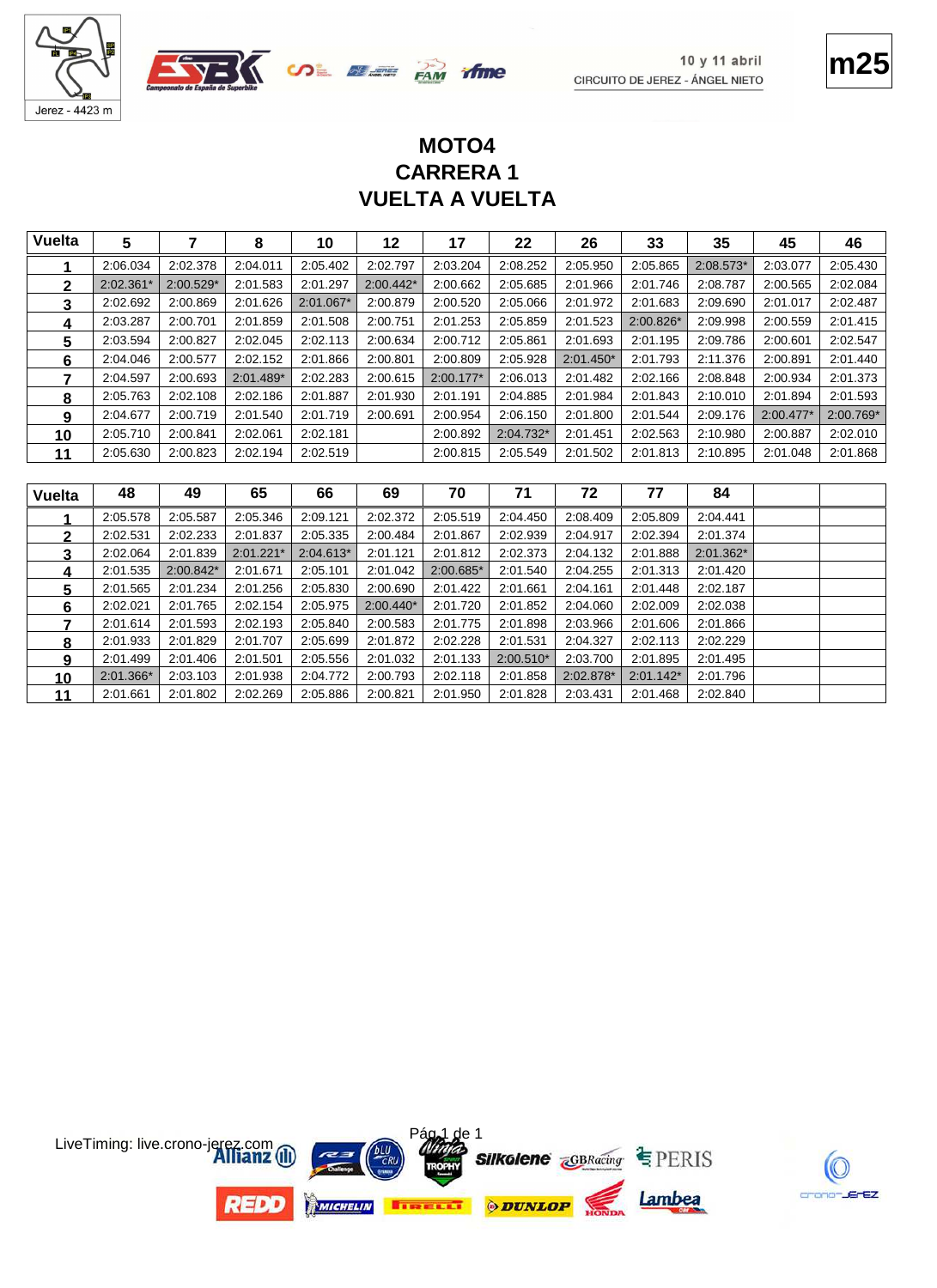





## **VUELTA A VUELTA CARRERA 1 MOTO4**

| <b>Vuelta</b> | 5         |             | 8           | 10        | 12          | 17          | 22        | 26          | 33        | 35        | 45          | 46        |
|---------------|-----------|-------------|-------------|-----------|-------------|-------------|-----------|-------------|-----------|-----------|-------------|-----------|
|               | 2:06.034  | 2:02.378    | 2:04.011    | 2:05.402  | 2:02.797    | 2:03.204    | 2:08.252  | 2:05.950    | 2:05.865  | 2:08.573* | 2:03.077    | 2:05.430  |
| $\mathbf{2}$  | 2:02.361* | $2:00.529*$ | 2:01.583    | 2:01.297  | $2:00.442*$ | 2:00.662    | 2:05.685  | 2:01.966    | 2:01.746  | 2:08.787  | 2:00.565    | 2:02.084  |
| 3             | 2:02.692  | 2:00.869    | 2:01.626    | 2:01.067* | 2:00.879    | 2:00.520    | 2:05.066  | 2:01.972    | 2:01.683  | 2:09.690  | 2:01.017    | 2:02.487  |
| 4             | 2:03.287  | 2:00.701    | 2:01.859    | 2:01.508  | 2:00.751    | 2:01.253    | 2:05.859  | 2:01.523    | 2:00.826* | 2:09.998  | 2:00.559    | 2:01.415  |
| 5             | 2:03.594  | 2:00.827    | 2:02.045    | 2:02.113  | 2:00.634    | 2:00.712    | 2:05.861  | 2:01.693    | 2:01.195  | 2:09.786  | 2:00.601    | 2:02.547  |
| 6             | 2:04.046  | 2:00.577    | 2:02.152    | 2:01.866  | 2:00.801    | 2:00.809    | 2:05.928  | $2:01.450*$ | 2:01.793  | 2:11.376  | 2:00.891    | 2:01.440  |
| 7             | 2:04.597  | 2:00.693    | $2:01.489*$ | 2:02.283  | 2:00.615    | $2:00.177*$ | 2:06.013  | 2:01.482    | 2:02.166  | 2:08.848  | 2:00.934    | 2:01.373  |
| 8             | 2:05.763  | 2:02.108    | 2:02.186    | 2:01.887  | 2:01.930    | 2:01.191    | 2:04.885  | 2:01.984    | 2:01.843  | 2:10.010  | 2:01.894    | 2:01.593  |
| 9             | 2:04.677  | 2:00.719    | 2:01.540    | 2:01.719  | 2:00.691    | 2:00.954    | 2:06.150  | 2:01.800    | 2:01.544  | 2:09.176  | $2:00.477*$ | 2:00.769* |
| 10            | 2:05.710  | 2:00.841    | 2:02.061    | 2:02.181  |             | 2:00.892    | 2:04.732* | 2:01.451    | 2:02.563  | 2:10.980  | 2:00.887    | 2:02.010  |
| 11            | 2:05.630  | 2:00.823    | 2:02.194    | 2:02.519  |             | 2:00.815    | 2:05.549  | 2:01.502    | 2:01.813  | 2:10.895  | 2:01.048    | 2:01.868  |

| <b>Vuelta</b> | 48        | 49        | 65          | 66          | 69          | 70        | 71          | 72        | 77          | 84          |  |
|---------------|-----------|-----------|-------------|-------------|-------------|-----------|-------------|-----------|-------------|-------------|--|
|               | 2:05.578  | 2:05.587  | 2:05.346    | 2:09.121    | 2:02.372    | 2:05.519  | 2:04.450    | 2:08.409  | 2:05.809    | 2:04.441    |  |
| 2             | 2:02.531  | 2:02.233  | 2:01.837    | 2:05.335    | 2:00.484    | 2:01.867  | 2:02.939    | 2:04.917  | 2:02.394    | 2:01.374    |  |
|               | 2:02.064  | 2:01.839  | $2:01.221*$ | $2:04.613*$ | 2:01.121    | 2:01.812  | 2:02.373    | 2:04.132  | 2:01.888    | $2:01.362*$ |  |
| 4             | 2:01.535  | 2:00.842* | 2:01.671    | 2:05.101    | 2:01.042    | 2:00.685* | 2:01.540    | 2:04.255  | 2:01.313    | 2:01.420    |  |
| 5.            | 2:01.565  | 2:01.234  | 2:01.256    | 2:05.830    | 2:00.690    | 2:01.422  | 2:01.661    | 2:04.161  | 2:01.448    | 2:02.187    |  |
| 6             | 2:02.021  | 2:01.765  | 2:02.154    | 2:05.975    | $2:00.440*$ | 2:01.720  | 2:01.852    | 2:04.060  | 2:02.009    | 2:02.038    |  |
|               | 2:01.614  | 2:01.593  | 2:02.193    | 2:05.840    | 2:00.583    | 2:01.775  | 2:01.898    | 2:03.966  | 2:01.606    | 2:01.866    |  |
| 8             | 2:01.933  | 2:01.829  | 2:01.707    | 2:05.699    | 2:01.872    | 2:02.228  | 2:01.531    | 2:04.327  | 2:02.113    | 2:02.229    |  |
| 9             | 2:01.499  | 2:01.406  | 2:01.501    | 2:05.556    | 2:01.032    | 2:01.133  | $2:00.510*$ | 2:03.700  | 2:01.895    | 2:01.495    |  |
| 10            | 2:01.366* | 2:03.103  | 2:01.938    | 2:04.772    | 2:00.793    | 2:02.118  | 2:01.858    | 2:02.878* | $2:01.142*$ | 2:01.796    |  |
| 11            | 2:01.661  | 2:01.802  | 2:02.269    | 2:05.886    | 2:00.821    | 2:01.950  | 2:01.828    | 2:03.431  | 2:01.468    | 2:02.840    |  |

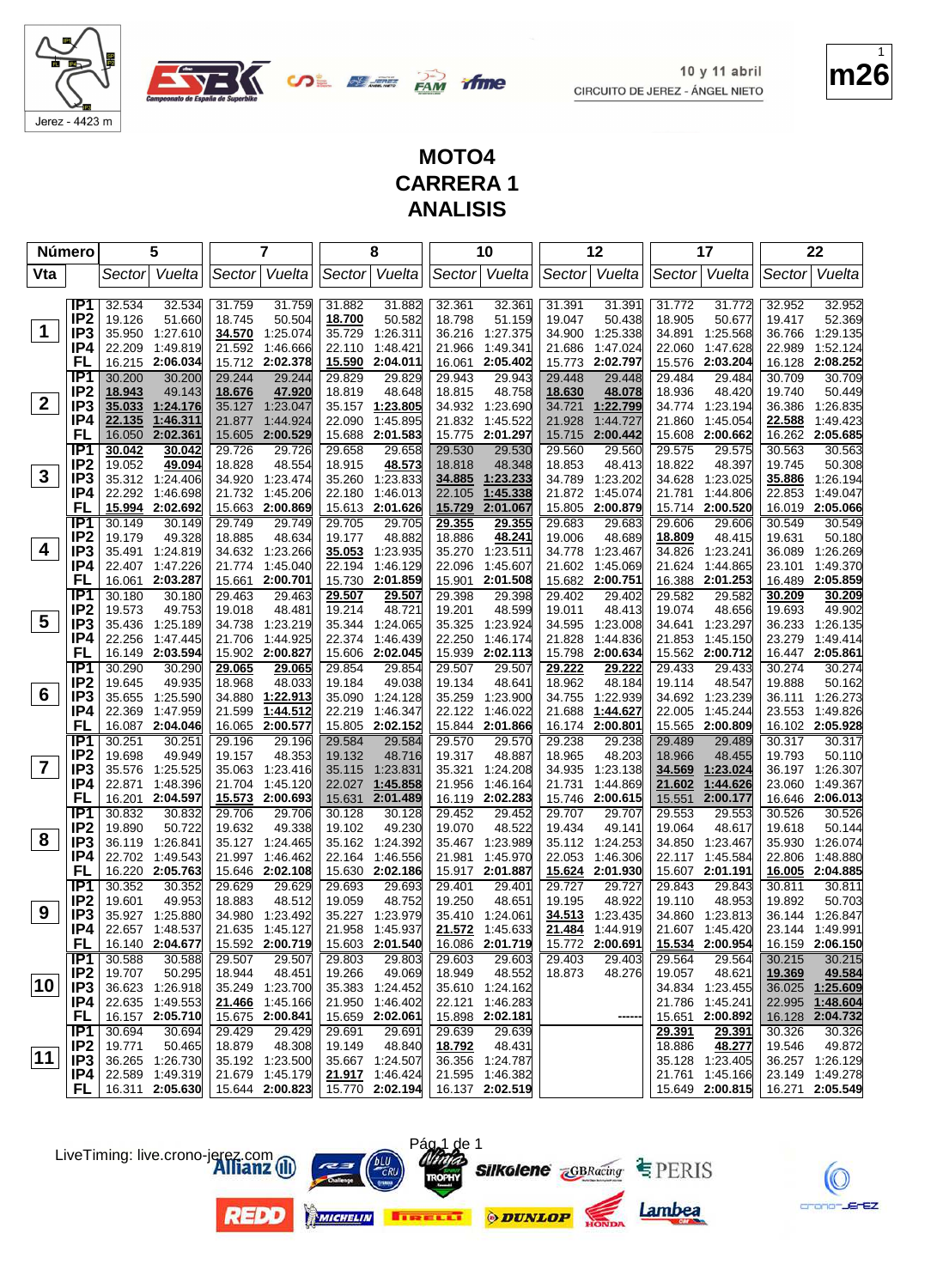



**m26** 1

#### **MOTO4 CARRERA 1 ANALISIS**

**OLEE BAN** 

|                         | Número                 |                  | 5                    |                  | 7                           |                  | 8                           |                  | 10                                |                  | 12                   |                  | 17                   |                  | 22                          |
|-------------------------|------------------------|------------------|----------------------|------------------|-----------------------------|------------------|-----------------------------|------------------|-----------------------------------|------------------|----------------------|------------------|----------------------|------------------|-----------------------------|
| Vta                     |                        | Sector           | Vuelta               |                  | Sector Vuelta               |                  | Sector Vuelta               |                  | Sector Vuelta                     |                  | Sector Vuelta        |                  | Sector Vuelta        | Sector           | Vuelta                      |
|                         |                        |                  |                      |                  |                             |                  |                             |                  |                                   |                  |                      |                  |                      |                  |                             |
|                         | IP1                    | 32.534           | 32.534               | 31.759           | 31.759                      | 31.882           | 31.882                      | 32.361           | 32.361                            | 31.391           | 31.391               | 31.772           | 31.772               | 32.952           | 32.952                      |
|                         | IP <sub>2</sub>        | 19.126           | 51.660               | 18.745           | 50.504                      | 18.700           | 50.582                      | 18.798           | 51.159                            | 19.047           | 50.438               | 18.905           | 50.677               | 19.417           | 52.369                      |
| 1                       | IP3                    | 35.950           | 1:27.610             | 34.570           | 1:25.074                    | 35.729           | 1:26.311                    | 36.216           | 1:27.375                          | 34.900           | 1:25.338             | 34.891           | 1:25.568             | 36.766           | 1:29.135                    |
|                         | IP4                    | 22.209           | 1:49.819             | 21.592           | 1:46.666                    | 22.110           | 1:48.421                    | 21.966           | 1:49.341                          | 21.686           | 1:47.024             | 22.060           | 1:47.628             | 22.989           | 1:52.124                    |
|                         | FL                     | 16.215           | 2:06.034             |                  | 15.712 2:02.378             | <u>15.590</u>    | 2:04.011                    | 16.061           | 2:05.402                          | 15.773           | 2:02.797             | 15.576           | 2:03.204             | 16.128           | 2:08.252                    |
|                         | IP <sub>1</sub>        | 30.200           | 30.200               | 29.244           | 29.244                      | 29.829           | 29.829                      | 29.943           | 29.943                            | 29.448           | 29.448               | 29.484           | 29.484               | 30.709           | 30.709                      |
| $\mathbf{2}$            | IP <sub>2</sub>        | 18.943           | 49.143               | 18.676           | 47.920                      | 18.819           | 48.648                      | 18.815           | 48.758                            | 18.630           | 48.078               | 18.936           | 48.420               | 19.740           | 50.449                      |
|                         | IP <sub>3</sub><br>IP4 | 35.033<br>22.135 | 1:24.176<br>1:46.311 | 35.127           | 1:23.047<br>21.877 1:44.924 | 22.090           | 35.157 1:23.805<br>1:45.895 | 34.932<br>21.832 | 1:23.690<br>1:45.522              | 34.721<br>21.928 | 1:22.799<br>1:44.727 | 34.774<br>21.860 | 1:23.194<br>1:45.054 | 36.386<br>22.588 | 1:26.835<br>1:49.423        |
|                         | FL                     | 16.050           | 2:02.361             | 15.605           | 2:00.529                    | 15.688           | 2:01.583                    | 15.775           | 2:01.297                          | 15.715           | 2:00.442             | 15.608           | 2:00.662             | 16.262           | 2:05.685                    |
|                         | IP1                    | 30.042           | 30.042               | 29.726           | 29.726                      | 29.658           | 29.658                      | 29.530           | 29.530                            | 29.560           | 29.560               | 29.575           | 29.575               | 30.563           | 30.563                      |
|                         | IP <sub>2</sub>        | 19.052           | 49.094               | 18.828           | 48.554                      | 18.915           | 48.573                      | 18.818           | 48.348                            | 18.853           | 48.413               | 18.822           | 48.397               | 19.745           | 50.308                      |
| 3                       | IP <sub>3</sub>        |                  | 35.312 1:24.406      | 34.920           | 1:23.474                    | 35.260           | 1:23.833                    | 34.885           | 1:23.233                          | 34.789           | 1:23.202             | 34.628           | 1:23.025             | 35.886           | 1:26.194                    |
|                         | IP4                    | 22.292           | 1:46.698             |                  | 21.732 1:45.206             | 22.180           | 1:46.013                    | 22.105           | 1:45.338                          | 21.872           | 1:45.074             | 21.781           | 1:44.806             | 22.853           | 1:49.047                    |
|                         | FL                     |                  | 15.994 2:02.692      |                  | 15.663 2:00.869             | 15.613           | 2:01.626                    | 15.729           | 2:01.067                          | 15.805           | 2:00.879             | 15.714           | 2:00.520             | 16.019           | 2:05.066                    |
|                         | IP1                    | 30.149           | 30.149               | 29.749           | 29.749                      | 29.705           | 29.705                      | <u>29.355</u>    | 29.355                            | 29.683           | 29.683               | 29.606           | 29.606               | 30.549           | 30.549                      |
|                         | IP <sub>2</sub>        | 19.179           | 49.328               | 18.885           | 48.634                      | 19.177           | 48.882                      | 18.886           | 48.241                            | 19.006           | 48.689               | 18.809           | 48.415               | 19.631           | 50.180                      |
| 4                       | IP3                    | 35.491           | 1:24.819             |                  | 34.632 1:23.266             | 35.053           | 1:23.935                    | 35.270           | 1:23.511                          | 34.778           | 1.23.467             | 34.826           | 1:23.241             | 36.089           | 1:26.269                    |
|                         | IP4                    | 22.407           | 1:47.226             | 21.774           | 1:45.040                    | 22.194           | 1:46.129                    | 22.096           | 1:45.607                          | 21.602           | 1:45.069             | 21.624           | 1:44.865             | 23.101           | 1:49.370                    |
|                         | FL                     | 16.061           | 2:03.287             | 15.661           | 2:00.701                    | 15.730           | 2:01.859                    | 15.901           | 2:01.508                          | 15.682           | 2:00.751             | 16.388           | 2:01.253             | 16.489           | 2:05.859                    |
|                         | $\overline{IP1}$       | 30.180           | 30.180               | 29.463           | 29.463<br>48.481            | 29.507           | 29.507                      | 29.398           | 29.398                            | 29.402           | 29.402               | 29.582           | 29.582               | 30.209           | 30.209                      |
| 5                       | IP <sub>2</sub><br>IP3 | 19.573<br>35.436 | 49.753<br>1:25.189   | 19.018           | 34.738 1:23.219             | 19.214           | 48.721<br>35.344 1:24.065   | 19.201<br>35.325 | 48.599<br>1.23.924                | 19.011<br>34.595 | 48.413<br>1:23.008   | 19.074<br>34.641 | 48.656<br>1:23.297   | 19.693           | 49.902<br>1:26.135          |
|                         | IP4                    | 22.256           | 1.47.445             | 21.706           | 1:44.925                    | 22.374           | 1:46.439                    | 22.250           | 1:46.174                          | 21.828           | 1:44.836             | 21.853           | 1:45.150             | 36.233<br>23.279 | 1:49.414                    |
|                         | FL                     | 16.149           | 2:03.594             |                  | 15.902 2:00.827             | 15.606           | 2:02.045                    | 15.939           | 2:02.113                          | 15.798           | 2:00.634             |                  | 15.562 2:00.712      |                  | 16.447 2:05.861             |
|                         | IP <sub>1</sub>        | 30.290           | 30.290               | 29.065           | 29.065                      | 29.854           | 29.854                      | 29.507           | 29.507                            | 29.222           | 29.222               | 29.433           | 29.433               | 30.274           | 30.274                      |
|                         | IP <sub>2</sub>        | 19.645           | 49.935               | 18.968           | 48.033                      | 19.184           | 49.038                      | 19.134           | 48.641                            | 18.962           | 48.184               | 19.114           | 48.547               | 19.888           | 50.162                      |
| 6                       | IP <sub>3</sub>        | 35.655           | 1:25.590             | 34.880           | 1:22.913                    | 35.090           | 1:24.128                    | 35.259           | 1:23.900                          | 34.755           | 1:22.939             |                  | 34.692 1:23.239      |                  | 36.111 1:26.273             |
|                         | IP4                    | 22.369           | 1:47.959             | 21.599           | 1:44.512                    | 22.219           | 1:46.347                    | 22.122           | 1:46.022                          | 21.688           | 1:44.627             | 22.005           | 1:45.244             | 23.553           | 1:49.826                    |
|                         | FL                     |                  | 16.087 2:04.046      | 16.065           | 2:00.577                    |                  | 15.805 2:02.152             | 15.844           | 2:01.866                          | 16.174           | 2:00.801             | 15.565           | 2:00.809             |                  | 16.102 2:05.928             |
|                         | IP1                    | 30.251           | 30.251               | 29.196           | 29.196                      | 29.584           | 29.584                      | 29.570           | 29.570                            | 29.238           | 29.238               | 29.489           | 29.489               | 30.317           | 30.317                      |
| $\overline{\mathbf{7}}$ | IP <sub>2</sub>        | 19.698           | 49.949               | 19.157           | 48.353                      | 19.132           | 48.716                      | 19.317           | 48.887                            | 18.965           | 48.203               | 18.966           | 48.455               | 19.793           | 50.110                      |
|                         | IP <sub>3</sub>        | 35.576           | 1:25.525             | 35.063           | 1:23.416                    | 35.115           | 1:23.831                    | 35.321           | 1:24.208                          | 34.935           | 1:23.138             | 34.569           | 1:23.024             |                  | 36.197 1:26.307             |
|                         | IP4<br>FL              | 22.871<br>16.201 | 1:48.396<br>2:04.597 | 21.704           | 1:45.120<br>15.573 2:00.693 | 22.027<br>15.631 | 1:45.858<br>2:01.489        | 21.956           | 1:46.164<br>16.119 2:02.283       | 21.731<br>15.746 | 1:44.869<br>2:00.615 | 21.602<br>15.551 | 1:44.626<br>2:00.177 | 23.060           | 1:49.367<br>16.646 2:06.013 |
|                         | TP1                    | 30.832           | 30.832               | 29.706           | 29.706                      | 30.128           | 30.128                      | 29.452           | 29.452                            | 29.707           | 29.707               | 29.553           | 29.553               | 30.526           | 30.526                      |
|                         | IP <sub>2</sub>        | 19.890           | 50.722               | 19.632           | 49.338                      | 19.102           | 49.230                      | 19.070           | 48.522                            | 19.434           | 49.141               | 19.064           | 48.617               | 19.618           | 50.144                      |
| 8                       | IP <sub>3</sub>        | 36.119           | 1:26.841             |                  | 35.127 1:24.465             |                  | 35.162 1:24.392             | 35.467           | 1:23.989                          | 35.112           | 1:24.253             | 34.850           | 1:23.467             | 35.930           | 1:26.074                    |
|                         | IP4                    |                  | 22.702 1:49.543      |                  | 21.997 1:46.462             | 22.164           | 1:46.556                    | 21.981           | 1:45.970                          | 22.053           | 1:46.306             | 22.117           | 1:45.584             | 22.806           | 1:48.880                    |
|                         | FL                     |                  | 16.220 2:05.763      |                  | 15.646 2:02.108             |                  | 15.630 2:02.186             |                  | 15.917 2:01.887                   |                  | 15.624 2:01.930      |                  | 15.607 2:01.191      |                  | 16.005 2:04.885             |
|                         | <b>IP1</b>             | 30.352           | 30.352               | 29.629           | 29.629                      | 29.693           | 29.693                      | 29.401           | 29.401                            | 29.727           | 29.727               | 29.843           | 29.843               | 30.811           | 30.811                      |
|                         | IP <sub>2</sub>        | 19.601           | 49.953               | 18.883           | 48.512                      | 19.059           | 48.752                      | 19.250           | 48.651                            | 19.195           | 48.922               | 19.110           | 48.953               | 19.892           | 50.703                      |
| 9                       | IP <sub>3</sub>        |                  | 35.927 1:25.880      |                  | 34.980 1:23.492             |                  | 35.227 1:23.979             |                  | 35.410 1:24.061                   | 34.513           | 1:23.435             |                  | 34.860 1:23.813      |                  | 36.144 1:26.847             |
|                         | IP4                    |                  | 22.657 1:48.537      |                  | 21.635 1:45.127             |                  | 21.958 1:45.937             |                  | 21.572 1:45.633                   |                  | 21.484 1:44.919      |                  | 21.607 1:45.420      |                  | 23.144 1:49.991             |
|                         | <b>FL</b>              |                  | 16.140 2:04.677      |                  | 15.592 2:00.719             |                  | 15.603 2:01.540             |                  | 16.086 2:01.719   15.772 2:00.691 |                  |                      |                  | 15.534 2:00.954      |                  | 16.159 2:06.150             |
|                         | IP1<br>IP <sub>2</sub> | 30.588<br>19.707 | 30.588<br>50.295     | 29.507<br>18.944 | 29.507<br>48.451            | 29.803<br>19.266 | 29.803<br>49.069            | 29.603<br>18.949 | 29.603<br>48.552                  | 29.403<br>18.873 | 29.403<br>48.276     | 29.564<br>19.057 | 29.564<br>48.621     | 30.215<br>19.369 | 30.215<br>49.584            |
| 10                      | IP3                    |                  | 36.623 1:26.918      |                  | 35.249 1:23.700             |                  | 35.383 1:24.452             |                  | 35.610 1:24.162                   |                  |                      |                  | 34.834 1:23.455      |                  | 36.025 1:25.609             |
|                         | IP4                    |                  | 22.635 1:49.553      |                  | 21.466 1:45.166             |                  | 21.950 1:46.402             |                  | 22.121 1:46.283                   |                  |                      |                  | 21.786 1:45.241      |                  | 22.995 1:48.604             |
|                         | FL.                    |                  | 16.157 2:05.710      |                  | 15.675 2:00.841             |                  | 15.659 2:02.061             |                  | 15.898 2:02.181                   |                  | -----                |                  | 15.651 2:00.892      |                  | 16.128 2:04.732             |
|                         | IP1                    | 30.694           | 30.694               | 29.429           | 29.429                      | 29.691           | 29.691                      | 29.639           | 29.639                            |                  |                      | 29.391           | 29.391               | 30.326           | 30.326                      |
|                         | IP <sub>2</sub>        | 19.771           | 50.465               | 18.879           | 48.308                      | 19.149           | 48.840                      | 18.792           | 48.431                            |                  |                      | 18.886           | 48.277               | 19.546           | 49.872                      |
| 11                      | IP3                    |                  | 36.265 1:26.730      |                  | 35.192 1:23.500             |                  | 35.667 1:24.507             |                  | 36.356 1:24.787                   |                  |                      |                  | 35.128 1:23.405      |                  | 36.257 1:26.129             |
|                         | IP4                    |                  | 22.589 1:49.319      |                  | 21.679 1:45.179             |                  | 21.917 1:46.424             |                  | 21.595 1:46.382                   |                  |                      |                  | 21.761 1:45.166      |                  | 23.149 1:49.278             |
|                         | FL I                   |                  | 16.311 2:05.630      |                  | 15.644 2:00.823             |                  | 15.770 2:02.194             |                  | 16.137 2:02.519                   |                  |                      |                  | 15.649 2:00.815      |                  | 16.271 2:05.549             |













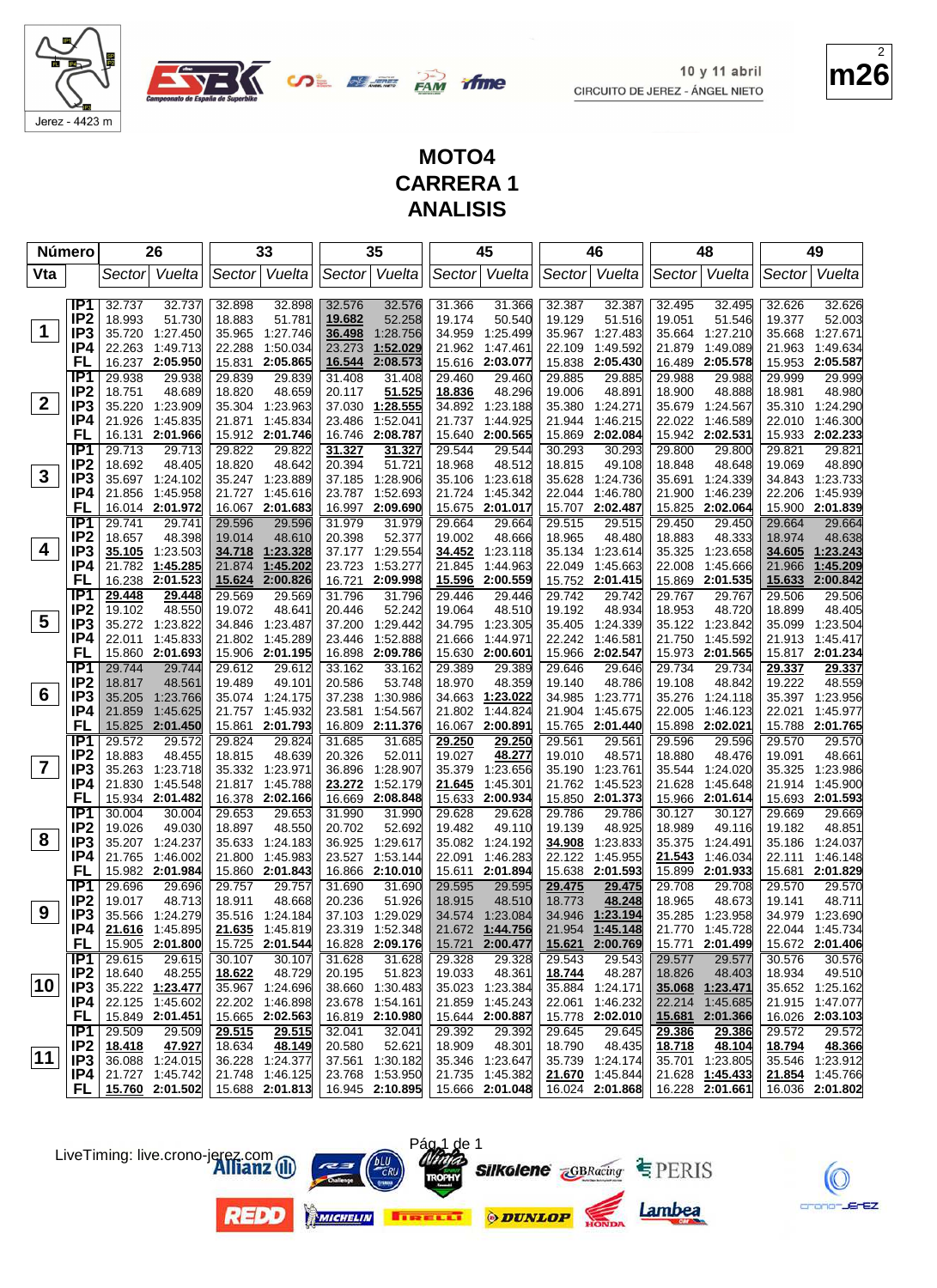**m26** 2

10 y 11 abril

CIRCUITO DE JEREZ - ÁNGEL NIETO

# Jerez - 4423 m

**OLEE BAN** ifme

#### **MOTO4 CARRERA 1 ANALISIS**

|              | Número                             | 26                                 |                      |                  | 33                                 |                  | 35                                 |                  | 45                                 |                  | 46                                 |                  | 48                                 |                  | 49                                 |
|--------------|------------------------------------|------------------------------------|----------------------|------------------|------------------------------------|------------------|------------------------------------|------------------|------------------------------------|------------------|------------------------------------|------------------|------------------------------------|------------------|------------------------------------|
| Vta          |                                    | Sector                             | Vuelta               | Sector           | Vuelta                             |                  | Sector Vuelta                      | Sector           | Vuelta                             |                  | Sector Vuelta                      | Sector           | Vuelta                             | Sector           | Vuelta                             |
|              | IP1                                | 32.737                             | 32.737               | 32.898           | 32.898                             | 32.576           | 32.576                             | 31.366           | 31.366                             | 32.387           | 32.387                             | 32.495           | 32.495                             | 32.626           | 32.626                             |
|              | IP <sub>2</sub>                    | 18.993                             | 51.730               | 18.883           | 51.781                             | 19.682           | 52.258                             | 19.174           | 50.540                             | 19.129           | 51.516                             | 19.051           | 51.546                             | 19.377           | 52.003                             |
| $\mathbf 1$  | IP <sub>3</sub>                    | 35.720                             | 1:27.450             | 35.965           | 1:27.746                           | 36.498           | 1:28.756                           | 34.959           | 1:25.499                           | 35.967           | 1:27.483                           | 35.664           | 1:27.210                           | 35.668           | 1:27.671                           |
|              | IP4                                | 22.263                             | 1:49.713             | 22.288           | 1:50.034                           | 23.273           | 1:52.029                           | 21.962           | 1:47.461                           | 22.109           | 1:49.592                           | 21.879           | 1:49.089                           | 21.963           | 1:49.634                           |
|              | FL                                 | 16.237 2:05.950                    |                      | 15.831           | 2:05.865                           | 16.544           | 2:08.573                           | 15.616           | 2:03.077                           | 15.838           | 2:05.430                           | 16.489           | 2:05.578                           | 15.953           | 2:05.587                           |
|              | IP <sub>1</sub>                    | 29.938                             | 29.938               | 29.839           | 29.839                             | 31.408           | 31.408                             | 29.460           | 29.460                             | 29.885           | 29.885                             | 29.988           | 29.988                             | 29.999           | 29.999                             |
|              | IP <sub>2</sub>                    | 18.751                             | 48.689               | 18.820           | 48.659                             | 20.117           | 51.525                             | 18.836           | 48.296                             | 19.006           | 48.891                             | 18.900           | 48.888                             | 18.981           | 48.980                             |
| $\mathbf{2}$ | IP <sub>3</sub>                    | 35.220                             | 1:23.909             |                  | 35.304 1:23.963                    | 37.030           | 1:28.555                           | 34.892           | 1:23.188                           | 35.380           | 1:24.271                           | 35.679           | 1:24.567                           |                  | 35.310 1:24.290                    |
|              | IP4                                | 21.926                             | 1:45.835             | 21.871           | 1:45.834                           | 23.486           | 1:52.041                           | 21.737           | 1:44.925                           | 21.944           | 1:46.215                           | 22.022           | 1:46.589                           | 22.010           | 1:46.300                           |
|              | FL                                 | 16.131                             | 2:01.966             |                  | 15.912 2:01.746                    | 16.746           | 2:08.787                           | 15.640           | 2:00.565                           | 15.869           | 2:02.084                           |                  | 15.942 2:02.531                    |                  | 15.933 2:02.233                    |
|              | IP1                                | 29.713                             | 29.713               | 29.822           | 29.822                             | 31.327           | 31.327                             | 29.544           | 29.544                             | 30.293           | 30.293                             | 29.800           | 29.800                             | 29.821           | 29.821                             |
|              | IP <sub>2</sub>                    | 18.692                             | 48.405               | 18.820           | 48.642                             | 20.394           | 51.721                             | 18.968           | 48.512                             | 18.815           | 49.108                             | 18.848           | 48.648                             | 19.069           | 48.890                             |
| $\mathbf{3}$ | IP3                                | 35.697 1:24.102                    |                      |                  | 35.247 1:23.889                    | 37.185           | 1:28.906                           | 35.106           | 1:23.618                           | 35.628           | 1:24.736                           | 35.691           | 1:24.339                           |                  | 34.843 1:23.733                    |
|              | IP4                                | 21.856                             | 1:45.958             |                  | 21.727 1:45.616                    | 23.787           | 1:52.693                           | 21.724           | 1:45.342                           | 22.044           | 1:46.780                           | 21.900           | 1:46.239                           | 22.206           | 1:45.939                           |
|              | FL                                 | 16.014 2:01.972                    |                      |                  | 16.067 2:01.683                    | 16.997           | 2:09.690                           | 15.675           | 2:01.017                           |                  | 15.707 2:02.487                    | 15.825           | 2:02.064                           |                  | 15.900 2:01.839                    |
|              | IP1                                | 29.741                             | 29.741               | 29.596           | 29.596                             | 31.979           | 31.979                             | 29.664           | 29.664                             | 29.515           | 29.515                             | 29.450           | 29.450                             | 29.664           | 29.664                             |
| 4            | IP <sub>2</sub>                    | 18.657                             | 48.398               | 19.014           | 48.610                             | 20.398           | 52.377                             | 19.002           | 48.666                             | 18.965           | 48.480                             | 18.883           | 48.333                             | 18.974           | 48.638                             |
|              | IP3<br>IP4                         | 35.105<br>21.782                   | 1:23.503<br>1:45.285 | 21.874           | 34.718 1:23.328<br>1:45.202        | 37.177<br>23.723 | 1:29.554<br>1:53.277               | 34.452<br>21.845 | 1:23.118<br>1:44.963               | 35.134<br>22.049 | 1:23.614<br>1:45.663               | 35.325<br>22.008 | 1:23.658<br>1:45.666               | 21.966           | 34.605 1:23.243<br>1:45.209        |
|              | FL                                 | 16.238                             | 2:01.523             | 15.624           | 2:00.826                           | 16.721           | 2:09.998                           | 15.596           | 2:00.559                           |                  | 15.752 2:01.415                    | 15.869           | 2:01.535                           | 15.633           | 2:00.842                           |
|              | IP1                                | 29.448                             | 29.448               | 29.569           | 29.569                             | 31.796           | 31.796                             | 29.446           | 29.446                             | 29.742           | 29.742                             | 29.767           | 29.767                             | 29.506           | 29.506                             |
|              | IP <sub>2</sub>                    | 19.102                             | 48.550               | 19.072           | 48.641                             | 20.446           | 52.242                             | 19.064           | 48.510                             | 19.192           | 48.934                             | 18.953           | 48.720                             | 18.899           | 48.405                             |
| 5            | IP <sub>3</sub>                    | 35.272 1:23.822                    |                      | 34.846           | 1:23.487                           | 37.200           | 1:29.442                           | 34.795           | 1:23.305                           | 35.405           | 1:24.339                           | 35.122           | 1:23.842                           | 35.099           | 1:23.504                           |
|              | IP4                                | 22.011                             | 1:45.833             | 21.802           | 1:45.289                           | 23.446           | 1:52.888                           | 21.666           | 1:44.971                           | 22.242           | 1:46.581                           | 21.750           | 1:45.592                           |                  | 21.913 1:45.417                    |
|              | FL                                 | 15.860 2:01.693                    |                      |                  | 15.906 2:01.195                    | 16.898           | 2:09.786                           | 15.630           | 2:00.601                           |                  | 15.966 2:02.547                    | 15.973           | 2:01.565                           |                  | 15.817 2:01.234                    |
|              | IP <sub>1</sub>                    | 29.744                             | 29.744               | 29.612           | 29.612                             | 33.162           | 33.162                             | 29.389           | 29.389                             | 29.646           | 29.646                             | 29.734           | 29.734                             | 29.337           | 29.337                             |
|              | IP <sub>2</sub>                    | 18.817                             | 48.561               | 19.489           | 49.101                             | 20.586           | 53.748                             | 18.970           | 48.359                             | 19.140           | 48.786                             | 19.108           | 48.842                             | 19.222           | 48.559                             |
| 6            | IP <sub>3</sub>                    | 35.205                             | 1:23.766             |                  | 35.074 1:24.175                    | 37.238           | 1:30.986                           | 34.663           | 1:23.022                           | 34.985           | 1:23.771                           | 35.276           | 1:24.118                           |                  | 35.397 1:23.956                    |
|              | IP4                                | 21.859                             | 1:45.625             |                  | 21.757 1:45.932                    | 23.581           | 1:54.567                           | 21.802           | 1:44.824                           | 21.904           | 1:45.675                           | 22.005           | 1:46.123                           | 22.021           | 1:45.977                           |
|              | FL                                 | 15.825                             | 2:01.450             |                  | 15.861 2:01.793                    | 16.809           | 2:11.376                           | 16.067           | 2:00.891                           | 15.765           | 2:01.440                           | 15.898           | 2:02.021                           |                  | 15.788 2:01.765                    |
|              | IP1                                | 29.572                             | 29.572               | 29.824           | 29.824                             | 31.685           | 31.685                             | 29.250           | 29.250                             | 29.561           | 29.561                             | 29.596           | 29.596                             | 29.570           | 29.570                             |
|              | IP <sub>2</sub>                    | 18.883                             | 48.455               | 18.815           | 48.639                             | 20.326           | 52.011                             | 19.027           | 48.277                             | 19.010           | 48.571                             | 18.880           | 48.476                             | 19.091           | 48.661                             |
| 7            | IP3                                | 35.263                             | 1:23.718             | 35.332           | 1:23.971                           | 36.896           | 1:28.907                           | 35.379           | 1:23.656                           | 35.190           | 1:23.761                           | 35.544           | 1:24.020                           | 35.325           | 1:23.986                           |
|              | IP4                                | 21.830                             | 1:45.548             |                  | 21.817 1:45.788                    | 23.272           | 1:52.179                           | 21.645           | 1:45.301                           | 21.762           | 1:45.523                           | 21.628           | 1:45.648                           | 21.914           | 1:45.900                           |
|              | FL                                 | 15.934 2:01.482                    |                      |                  | 16.378 2:02.166                    | 16.669           | 2:08.848                           | 15.633           | 2:00.934                           | 15.850           | 2:01.373                           |                  | 15.966 2:01.614                    |                  | 15.693 2:01.593                    |
|              | IP1<br>IP <sub>2</sub>             | 30.004<br>19.026                   | 30.004<br>49.030     | 29.653<br>18.897 | 29.653<br>48.550                   | 31.990<br>20.702 | 31.990<br>52.692                   | 29.628<br>19.482 | 29.628<br>49.110                   | 29.786<br>19.139 | 29.786<br>48.925                   | 30.127<br>18.989 | 30.127<br>49.116                   | 29.669<br>19.182 | 29.669<br>48.851                   |
| 8            | IP <sub>3</sub>                    | 35.207                             | 1:24.237             | 35.633           | 1:24.183                           | 36.925           | 1:29.617                           | 35.082           | 1:24.192                           | 34.908           | 1:23.833                           | 35.375           | 1:24.491                           | 35.186           | 1:24.037                           |
|              | IP4                                | 21.765                             | 1:46.002             | 21.800           | 1:45.983                           | 23.527           | 1:53.144                           | 22.091           | 1:46.283                           | 22.122           | 1:45.955                           | 21.543           | 1:46.034                           | 22.111           | 1:46.148                           |
|              | FL                                 | 15.982 2:01.984                    |                      |                  | 15.860 2:01.843                    |                  | 16.866 2:10.010                    | 15.611           | 2:01.894                           |                  | 15.638 2:01.593                    | 15.899           | 2:01.933                           |                  | 15.681 2:01.829                    |
|              | IP <sub>1</sub>                    | 29.696                             | 29.696               | 29.757           | 29.757                             | 31.690           | 31.690                             | 29.595           | 29.595                             | 29.475           | 29.475                             | 29.708           | 29.708                             | 29.570           | 29.570                             |
|              | IP <sub>2</sub>                    | 19.017                             | 48.713               | 18.911           | 48.668                             | 20.236           | 51.926                             | 18.915           | 48.510                             | 18.773           | 48.248                             | 18.965           | 48.673                             | 19.141           | 48.711                             |
| 9            | IP <sub>3</sub>                    | 35.566 1:24.279                    |                      |                  | 35.516 1:24.184                    |                  | 37.103 1:29.029                    |                  | 34.574 1:23.084                    |                  | 34.946 1:23.194                    |                  | 35.285 1:23.958                    |                  | 34.979 1:23.690                    |
|              | IP4                                |                                    | $21.616$ 1:45.895    |                  | 21.635 1:45.819                    |                  | 23.319 1:52.348                    |                  | 21.672 1:44.756                    |                  | 21.954 1:45.148                    |                  | 21.770 1:45.728                    |                  | 22.044 1:45.734                    |
|              | FL,                                | 15.905 2:01.800                    |                      |                  | 15.725 2:01.544                    |                  | 16.828 2:09.176                    |                  | 15.721 2:00.477                    |                  | 15.621 2:00.769                    |                  | 15.771 2:01.499                    |                  | 15.672 2:01.406                    |
|              | IP1                                | 29.615                             | 29.615               | 30.107           | 30.107                             | 31.628           | 31.628                             | 29.328           | 29.328                             | 29.543           | 29.543                             | 29.577           | 29.577                             | 30.576           | 30.576                             |
|              | IP <sub>2</sub>                    | 18.640                             | 48.255               | 18.622           | 48.729                             | 20.195           | 51.823                             | 19.033           | 48.361                             | 18.744           | 48.287                             | 18.826           | 48.403                             | 18.934           | 49.510                             |
| 10           | IP <sub>3</sub>                    | 35.222 1:23.477                    |                      |                  | 35.967 1:24.696                    |                  | 38.660 1:30.483                    |                  | 35.023 1:23.384                    |                  | 35.884 1:24.171                    |                  | 35.068 1:23.471                    |                  | 35.652 1:25.162                    |
|              | IP4                                | 22.125 1:45.602                    |                      |                  | 22.202 1:46.898                    |                  | 23.678 1:54.161                    | 21.859           | 1:45.243                           |                  | 22.061 1:46.232                    | 22.214           | 1:45.685                           |                  | 21.915 1:47.077                    |
|              | <b>FL</b>                          | 15.849 2:01.451                    |                      |                  | 15.665 2:02.563                    |                  | 16.819 2:10.980                    |                  | 15.644 2:00.887                    |                  | 15.778 2:02.010                    |                  | 15.681 2:01.366                    |                  | 16.026 2:03.103                    |
|              | IP1                                | 29.509                             | 29.509               | 29.515           | 29.515                             | 32.041           | 32.041                             | 29.392           | 29.392                             | 29.645           | 29.645                             | 29.386           | 29.386                             | 29.572           | 29.572                             |
| 11           | IP <sub>2</sub><br>IP <sub>3</sub> | 18.418                             | 47.927               | 18.634           | 48.149                             | 20.580           | 52.621                             | 18.909           | 48.301                             | 18.790           | 48.435                             | <u>18.718</u>    | 48.104                             | 18.794           | 48.366                             |
|              | IP4                                | 36.088 1:24.015<br>21.727 1:45.742 |                      |                  | 36.228 1:24.377<br>21.748 1:46.125 |                  | 37.561 1:30.182<br>23.768 1:53.950 |                  | 35.346 1:23.647<br>21.735 1:45.382 |                  | 35.739 1:24.174<br>21.670 1:45.844 |                  | 35.701 1:23.805<br>21.628 1:45.433 |                  | 35.546 1:23.912<br>21.854 1:45.766 |
|              | FL.                                | 15.760 2:01.502                    |                      |                  | 15.688 2:01.813                    |                  | 16.945 2:10.895                    |                  | 15.666 2:01.048                    |                  | 16.024 2:01.868                    |                  | 16.228 2:01.661                    |                  | 16.036 2:01.802                    |
|              |                                    |                                    |                      |                  |                                    |                  |                                    |                  |                                    |                  |                                    |                  |                                    |                  |                                    |

LiveTiming: live.crono-jerez.com











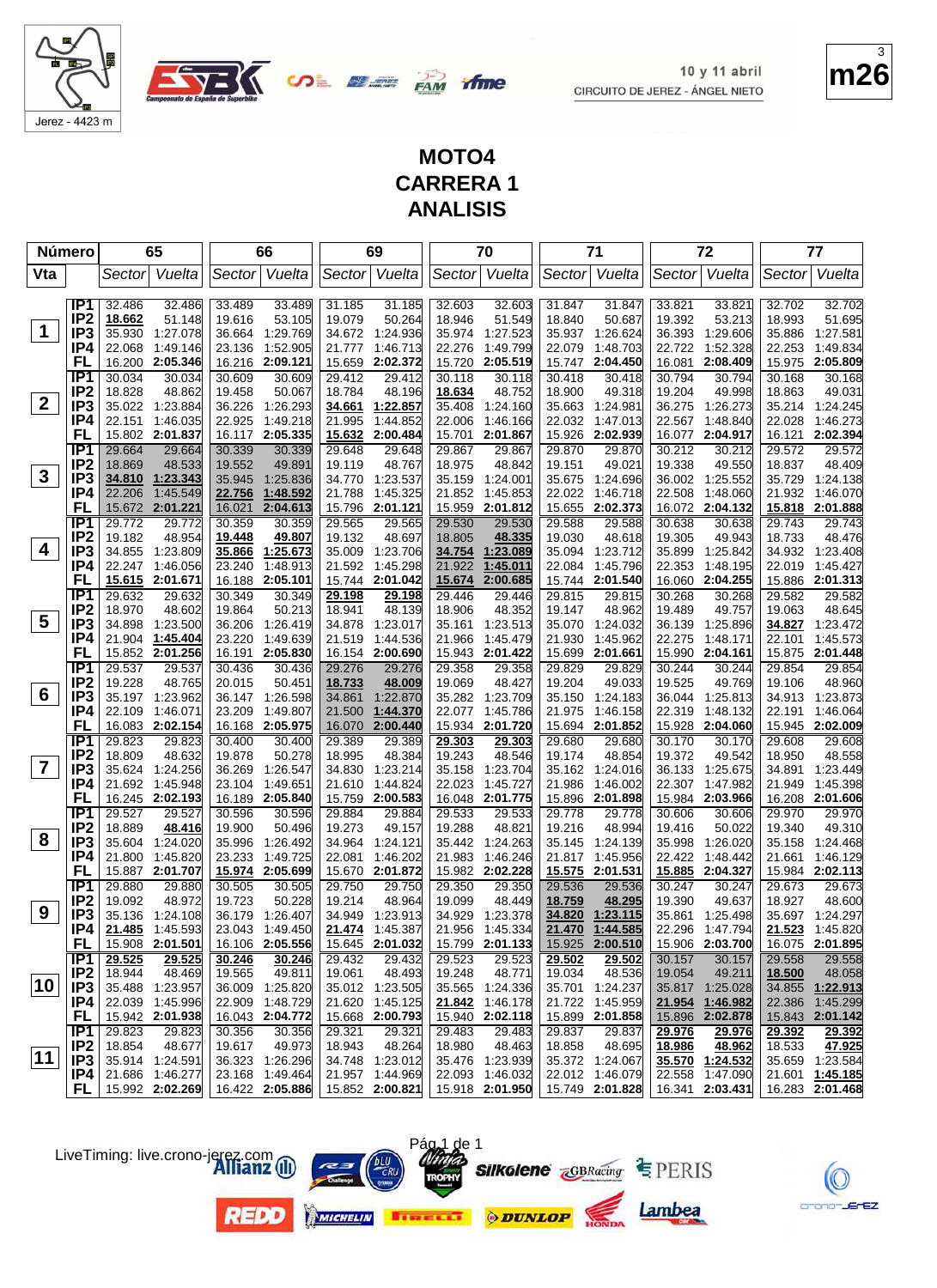

Jerez - 4423 m

**OLEE BAN** ifme

10 y 11 abril CIRCUITO DE JEREZ - ÁNGEL NIETO

## **MOTO4 CARRERA 1 ANALISIS**

|                         | <b>Número</b>          |                  | 65                   |                  | 66                   |                  | 69                                 |                  | 70                          |                  | 71                                              |                  | 72                   |                  | 77                   |
|-------------------------|------------------------|------------------|----------------------|------------------|----------------------|------------------|------------------------------------|------------------|-----------------------------|------------------|-------------------------------------------------|------------------|----------------------|------------------|----------------------|
| Vta                     |                        |                  | Sector Vuelta        |                  | Sector Vuelta        |                  | Sector  Vuelta                     |                  | Sector Vuelta               |                  | Sector Vuelta                                   |                  | Sector Vuelta        | Sector           | Vuelta               |
|                         | IP1                    | 32.486           |                      |                  |                      |                  |                                    |                  |                             |                  |                                                 |                  |                      | 32.702           |                      |
|                         | IP <sub>2</sub>        | 18.662           | 32.486<br>51.148     | 33.489<br>19.616 | 33.489<br>53.105     | 31.185<br>19.079 | 31.185<br>50.264                   | 32.603<br>18.946 | 32.603<br>51.549            | 31.847<br>18.840 | 31.847<br>50.687                                | 33.821<br>19.392 | 33.821<br>53.213     | 18.993           | 32.702<br>51.695     |
| $\mathbf 1$             | IP <sub>3</sub>        | 35.930           | 1:27.078             |                  | 36.664 1:29.769      |                  | 34.672 1:24.936                    |                  | 35.974 1:27.523             |                  | 35.937 1:26.624                                 | 36.393           | 1:29.606             | 35.886           | 1:27.581             |
|                         | IP4                    | 22.068           | 1:49.146             | 23.136           | 1:52.905             |                  | 21.777 1:46.713                    | 22.276           | 1:49.799                    | 22.079           | 1:48.703                                        | 22.722           | 1:52.328             | 22.253           | 1:49.834             |
|                         | FL                     | 16.200           | 2:05.346             | 16.216           | 2:09.121             |                  | 15.659 2:02.372                    | 15.720           | 2:05.519                    | 15.747           | 2:04.450                                        | 16.081           | 2:08.409             | 15.975           | 2:05.809             |
|                         | IP <sub>1</sub>        | 30.034           | 30.034               | 30.609           | 30.609               | 29.412           | 29.412                             | 30.118           | 30.118                      | 30.418           | 30.418                                          | 30.794           | 30.794               | 30.168           | 30.168               |
|                         | IP <sub>2</sub>        | 18.828           | 48.862               | 19.458           | 50.067               | 18.784           | 48.196                             | 18.634           | 48.752                      | 18.900           | 49.318                                          | 19.204           | 49.998               | 18.863           | 49.031               |
| $\overline{2}$          | IP <sub>3</sub>        |                  | 35.022 1:23.884      | 36.226           | 1:26.293             |                  | 34.661 1:22.857                    | 35.408           | 1:24.160                    | 35.663           | 1:24.981                                        | 36.275           | 1:26.273             |                  | 35.214 1:24.245      |
|                         | IP4                    | 22.151           | 1:46.035             | 22.925           | 1:49.218             | 21.995           | 1:44.852                           | 22.006           | 1:46.166                    | 22.032           | 1:47.013                                        | 22.567           | 1:48.840             | 22.028           | 1:46.273             |
|                         | FL                     |                  | 15.802 2:01.837      |                  | 16.117 2:05.335      |                  | 15.632 2:00.484                    | 15.701           | 2:01.867                    | 15.926           | 2:02.939                                        | 16.077           | 2:04.917             | 16.121           | 2:02.394             |
|                         | TP1                    | 29.664           | 29.664               | 30.339           | 30.339               | 29.648           | 29.648                             | 29.867           | 29.867                      | 29.870           | 29.870                                          | 30.212           | 30.212               | 29.572           | 29.572               |
|                         | IP <sub>2</sub>        | 18.869           | 48.533               | 19.552           | 49.891               | 19.119           | 48.767                             | 18.975           | 48.842                      | 19.151           | 49.021                                          | 19.338           | 49.550               | 18.837           | 48.409               |
| 3                       | IP <sub>3</sub>        |                  | 34.810 1:23.343      | 35.945           | 1:25.836             |                  | 34.770 1:23.537                    |                  | 35.159 1:24.001             | 35.675           | 1:24.696                                        |                  | 36.002 1:25.552      | 35.729           | 1:24.138             |
|                         | IP4                    | 22.206           | 1:45.549             | 22.756           | 1:48.592             | 21.788           | 1:45.325                           |                  | 21.852 1:45.853             | 22.022           | 1:46.718                                        | 22.508           | 1:48.060             | 21.932           | 1:46.070             |
|                         | FL                     | 15.672           | 2:01.221             | 16.021           | 2:04.613             |                  | 15.796 2:01.121                    | 15.959           | 2:01.812                    | 15.655           | 2:02.373                                        | 16.072           | 2:04.132             | 15.818           | 2:01.888             |
|                         | TP1                    | 29.772           | 29.772               | 30.359           | 30.359               | 29.565           | 29.565                             | 29.530           | 29.530                      | 29.588           | 29.588                                          | 30.638           | 30.638               | 29.743           | 29.743               |
|                         | IP <sub>2</sub>        | 19.182           | 48.954               | 19.448           | 49.807               | 19.132           | 48.697                             | 18.805           | 48.335                      | 19.030           | 48.618                                          | 19.305           | 49.943               | 18.733           | 48.476               |
| 4                       | IP <sub>3</sub>        | 34.855           | 1:23.809             | 35.866           | 1:25.673             |                  | 35.009 1:23.706                    |                  | 34.754 1:23.089             | 35.094           | 1:23.712                                        | 35.899           | 1:25.842             |                  | 34.932 1:23.408      |
|                         | IP4                    | 22.247           | 1:46.056             | 23.240           | 1:48.913             |                  | 21.592 1:45.298                    | 21.922           | 1:45.011                    | 22.084           | 1:45.796                                        | 22.353           | 1:48.195             | 22.019           | 1:45.427             |
|                         | FL<br>IP1              |                  | 15.615 2:01.671      |                  | 16.188 2:05.101      |                  | 15.744 2:01.042                    | 15.674           | 2:00.685                    | 15.744           | 2:01.540                                        | 16.060           | 2:04.255             |                  | 15.886 2:01.313      |
|                         | IP <sub>2</sub>        | 29.632<br>18.970 | 29.632<br>48.602     | 30.349<br>19.864 | 30.349<br>50.213     | 29.198<br>18.941 | 29.198<br>48.139                   | 29.446<br>18.906 | 29.446<br>48.352            | 29.815<br>19.147 | 29.815<br>48.962                                | 30.268<br>19.489 | 30.268<br>49.757     | 29.582<br>19.063 | 29.582<br>48.645     |
| $\overline{\mathbf{5}}$ | IP <sub>3</sub>        | 34.898           | 1:23.500             | 36.206           | 1:26.419             |                  | 34.878 1:23.017                    | 35.161           | 1:23.513                    | 35.070           | 1:24.032                                        | 36.139           | 1:25.896             | 34.827           | 1:23.472             |
|                         | IP4                    |                  | 21.904 1:45.404      | 23.220           | 1:49.639             |                  | 21.519 1:44.536                    | 21.966           | 1.45.479                    | 21.930           | 1:45.962                                        | 22.275           | 1:48.171             | 22.101           | 1:45.573             |
|                         | FL                     |                  | 15.852 2:01.256      |                  | 16.191 2:05.830      |                  | 16.154 2:00.690                    |                  | 15.943 2:01.422             | 15.699           | 2:01.661                                        |                  | 15.990 2:04.161      |                  | 15.875 2:01.448      |
|                         | IP <sub>1</sub>        | 29.537           | 29.537               | 30.436           | 30.436               | 29.276           | 29.276                             | 29.358           | 29.358                      | 29.829           | 29.829                                          | 30.244           | 30.244               | 29.854           | 29.854               |
|                         | IP <sub>2</sub>        | 19.228           | 48.765               | 20.015           | 50.451               | 18.733           | 48.009                             | 19.069           | 48.427                      | 19.204           | 49.033                                          | 19.525           | 49.769               | 19.106           | 48.960               |
| 6                       | IP <sub>3</sub>        |                  | 35.197 1:23.962      |                  | 36.147 1:26.598      |                  | 34.861 1:22.870                    |                  | 35.282 1:23.709             | 35.150           | 1:24.183                                        | 36.044           | 1:25.813             | 34.913           | 1:23.873             |
|                         | IP4                    | 22.109           | 1:46.071             | 23.209           | 1:49.807             |                  | 21.500 1:44.370                    | 22.077           | 1:45.786                    | 21.975           | 1:46.158                                        | 22.319           | 1:48.132             | 22.191           | 1:46.064             |
|                         | FL                     |                  | 16.083 2:02.154      |                  | 16.168 2:05.975      | 16.070           | 2:00.440                           |                  | 15.934 2:01.720             |                  | 15.694 2:01.852                                 |                  | 15.928 2:04.060      |                  | 15.945 2:02.009      |
|                         | TP1                    | 29.823           | 29.823               | 30.400           | 30.400               | 29.389           | 29.389                             | 29.303           | 29.303                      | 29.680           | 29.680                                          | 30.170           | 30.170               | 29.608           | 29.608               |
|                         | IP <sub>2</sub>        | 18.809           | 48.632               | 19.878           | 50.278               | 18.995           | 48.384                             | 19.243           | 48.546                      | 19.174           | 48.854                                          | 19.372           | 49.542               | 18.950           | 48.558               |
| $\overline{\mathbf{r}}$ | IP <sub>3</sub>        |                  | 35.624 1:24.256      | 36.269           | 1:26.547             |                  | 34.830 1:23.214                    | 35.158           | 1:23.704                    | 35.162           | 1:24.016                                        |                  | 36.133 1:25.675      | 34.891           | 1:23.449             |
|                         | IP4                    | 21.692           | 1:45.948             | 23.104           | 1:49.651             |                  | 21.610 1:44.824                    | 22.023           | 1:45.727                    | 21.986           | 1:46.002                                        | 22.307           | 1:47.982             | 21.949           | 1:45.398             |
|                         | FL                     |                  | 16.245 2:02.193      |                  | 16.189 2:05.840      |                  | 15.759 2:00.583                    |                  | 16.048 2:01.775             | 15.896           | 2:01.898                                        |                  | 15.984 2:03.966      |                  | 16.208 2:01.606      |
|                         | TP1                    | 29.527           | 29.527               | 30.596           | 30.596               | 29.884           | 29.884                             | 29.533           | 29.533                      | 29.778           | 29.778                                          | 30.606           | 30.606               | 29.970           | 29.970               |
| 8                       | IP <sub>2</sub>        | 18.889           | 48.416               | 19.900           | 50.496               | 19.273           | 49.157                             | 19.288           | 48.821                      | 19.216           | 48.994                                          | 19.416           | 50.022               | 19.340           | 49.310               |
|                         | IP <sub>3</sub><br>IP4 | 35.604<br>21.800 | 1:24.020<br>1:45.820 | 35.996<br>23.233 | 1:26.492<br>1:49.725 |                  | 34.964 1:24.121<br>22.081 1:46.202 |                  | 35.442 1:24.263<br>1:46.246 | 35.145           | 1:24.139<br>1:45.956                            | 35.998<br>22.422 | 1:26.020<br>1:48.442 | 35.158<br>21.661 | 1:24.468<br>1:46.129 |
|                         | FL                     |                  | 15.887 2:01.707      |                  | 15.974 2:05.699      |                  | 15.670 2:01.872                    | 21.983           | 15.982 2:02.228             | 21.817           | 15.575 2:01.531                                 |                  | 15.885 2:04.327      |                  | 15.984 2:02.113      |
|                         | $\overline{IP1}$       | 29.880           | 29.880               | 30.505           | 30.505               | 29.750           | 29.750                             | 29.350           | 29.350                      | 29.536           | 29.536                                          | 30.247           | 30.247               | 29.673           | 29.673               |
|                         | IP <sub>2</sub>        | 19.092           | 48.972               | 19.723           | 50.228               | 19.214           | 48.964                             | 19.099           | 48.449                      | 18.759           | 48.295                                          | 19.390           | 49.637               | 18.927           | 48.600               |
| 9                       | IP <sub>3</sub>        |                  | 35.136 1:24.108      |                  | 36.179 1:26.407      |                  | 34.949 1:23.913                    |                  | 34.929 1:23.378             |                  | 34.820 1:23.115                                 |                  | 35.861 1:25.498      |                  | 35.697 1:24.297      |
|                         | IP4                    |                  | 21.485 1:45.593      |                  | 23.043 1:49.450      |                  | 21.474 1:45.387                    |                  | 21.956 1:45.334             |                  | 21.470 1:44.585                                 |                  | 22.296 1:47.794      |                  | 21.523 1:45.820      |
|                         | <b>FL</b>              |                  | 15.908 2:01.501      |                  | 16.106 2:05.556      |                  | 15.645 2:01.032                    |                  | 15.799 2:01.133             |                  | 15.925 2:00.510                                 |                  | 15.906 2:03.700      |                  | 16.075 2:01.895      |
|                         | IP1                    | 29.525           | 29.525               | 30.246           | 30.246               | 29.432           | 29.432                             | 29.523           | 29.523                      | 29.502           | 29.502                                          | 30.157           | 30.157               | 29.558           | 29.558               |
|                         | IP <sub>2</sub>        | 18.944           | 48.469               | 19.565           | 49.811               | 19.061           | 48.493                             | 19.248           | 48.771                      | 19.034           | 48.536                                          | 19.054           | 49.211               | 18.500           | 48.058               |
| 10                      | IP <sub>3</sub>        |                  | 35.488 1:23.957      |                  | 36.009 1:25.820      |                  | 35.012 1:23.505                    |                  | 35.565 1:24.336             |                  | 35.701 1:24.237                                 |                  | 35.817 1:25.028      |                  | 34.855 1:22.913      |
|                         | IP4.                   |                  | 22.039 1:45.996      |                  | 22.909 1:48.729      |                  | 21.620 1:45.125                    |                  | 21.842 1:46.178             |                  | 21.722 1:45.959                                 |                  | 21.954 1:46.982      |                  | 22.386 1:45.299      |
|                         | <b>FL</b>              |                  | 15.942 2:01.938      |                  | 16.043 2:04.772      |                  | 15.668 2:00.793                    |                  | 15.940 2:02.118             |                  | 15.899 2:01.858                                 |                  | 15.896 2:02.878      |                  | 15.843 2:01.142      |
|                         | IP1                    | 29.823           | 29.823               | 30.356           | 30.356               | 29.321           | 29.321                             | 29.483           | 29.483                      | 29.837           | 29.837                                          | 29.976           | 29.976               | 29.392           | 29.392               |
|                         | IP <sub>2</sub>        | 18.854           | 48.677               | 19.617           | 49.973               | 18.943           | 48.264                             | 18.980           | 48.463                      | 18.858           | 48.695                                          | 18.986           | 48.962               | 18.533           | 47.925               |
| 11                      | IP3                    |                  | 35.914 1:24.591      |                  | 36.323 1:26.296      |                  | 34.748 1:23.012                    |                  | 35.476 1:23.939             |                  | 35.372 1:24.067                                 |                  | 35.570 1:24.532      |                  | 35.659 1:23.584      |
|                         | IP4                    |                  | 21.686 1:46.277      |                  | 23.168 1:49.464      |                  | 21.957 1:44.969                    |                  | 22.093 1:46.032             |                  | 22.012 1:46.079                                 |                  | 22.558 1:47.090      |                  | 21.601 1:45.185      |
|                         | FL.                    |                  | 15.992 2:02.269      |                  | 16.422 2:05.886      |                  | 15.852 2:00.821                    |                  | 15.918 2:01.950             |                  | $\vert$ 15.749 2:01.828 $\vert$ 16.341 2:03.431 |                  |                      |                  | 16.283 2:01.468      |





LiveTiming: live.crono-jerez.com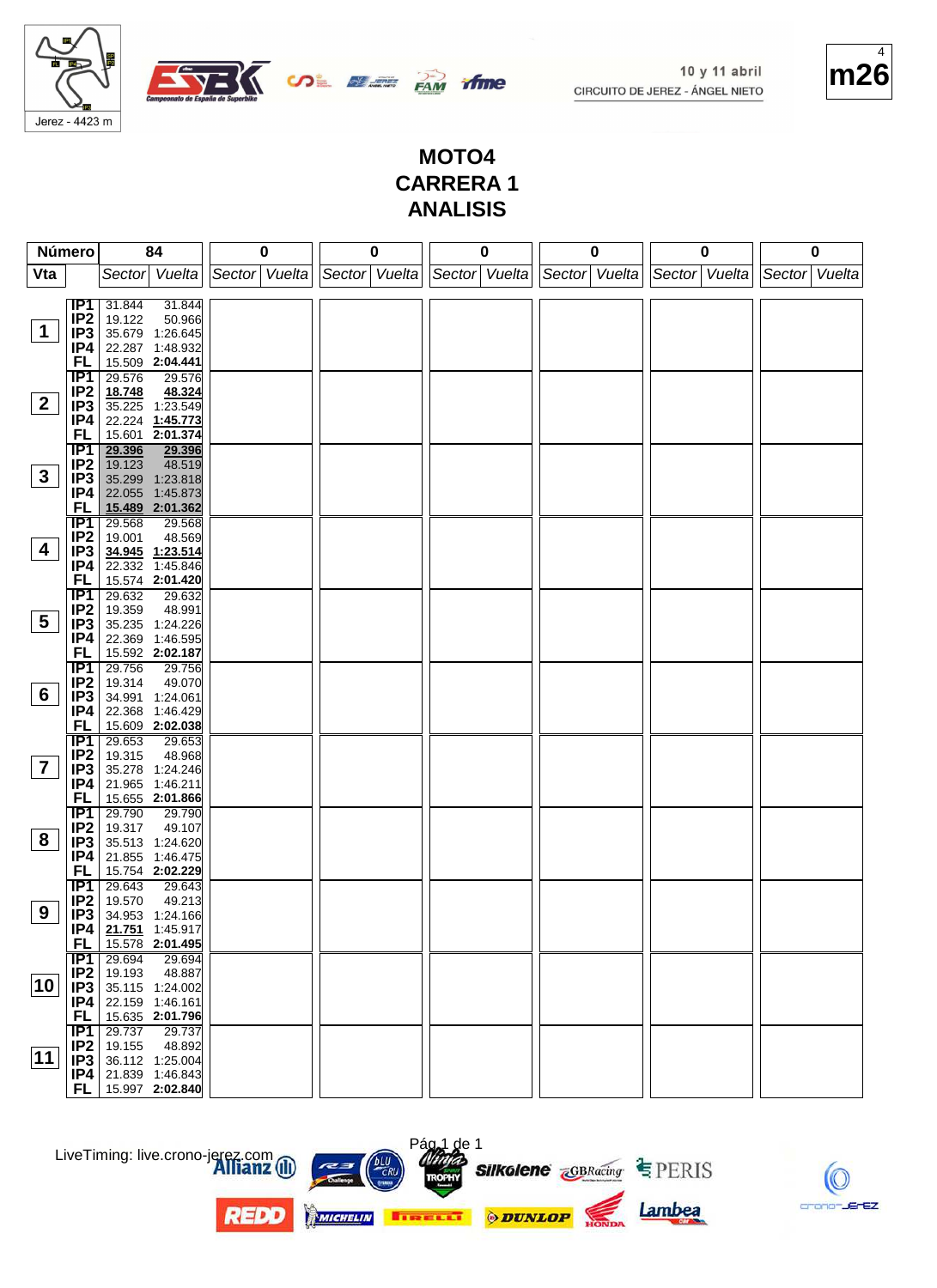Jerez - 4423 m

E **OL BEER BAN**  $\nabla$   $\overline{\phantom{0}}$ 



#### **MOTO4 CARRERA 1 ANALISIS**

tfme

|                 | Número                 | 84                                              | 0                           | 0 |                                                         | 0 | 0 | 0 | 0 |
|-----------------|------------------------|-------------------------------------------------|-----------------------------|---|---------------------------------------------------------|---|---|---|---|
| Vta             |                        | Sector Vuelta                                   | Sector Vuelta Sector Vuelta |   | Sector Vuelta Sector Vuelta Sector Vuelta Sector Vuelta |   |   |   |   |
|                 |                        |                                                 |                             |   |                                                         |   |   |   |   |
|                 | IP1                    | 31.844<br>31.844                                |                             |   |                                                         |   |   |   |   |
|                 | IP <sub>2</sub>        | 19.122<br>50.966                                |                             |   |                                                         |   |   |   |   |
| 1               | IP3                    | 35.679 1:26.645                                 |                             |   |                                                         |   |   |   |   |
|                 | IP4                    | 22.287 1:48.932                                 |                             |   |                                                         |   |   |   |   |
|                 | FL                     | 15.509 2:04.441                                 |                             |   |                                                         |   |   |   |   |
|                 | IP1                    | 29.576<br>29.576                                |                             |   |                                                         |   |   |   |   |
| $\mathbf{2}$    | IP <sub>2</sub>        | 18.748<br>48.324<br>35.225 1:23.549             |                             |   |                                                         |   |   |   |   |
|                 | IP <sub>3</sub><br>IP4 | 22.224 1:45.773                                 |                             |   |                                                         |   |   |   |   |
|                 | FL                     | 15.601 2:01.374                                 |                             |   |                                                         |   |   |   |   |
|                 | IP1                    | 29.396<br>29.396                                |                             |   |                                                         |   |   |   |   |
|                 | IP <sub>2</sub>        | 48.519<br>19.123                                |                             |   |                                                         |   |   |   |   |
| $3\phantom{a}$  | IP3                    | 35.299 1:23.818                                 |                             |   |                                                         |   |   |   |   |
|                 | IP4                    | 22.055 1:45.873                                 |                             |   |                                                         |   |   |   |   |
|                 | FL                     | 15.489 2:01.362                                 |                             |   |                                                         |   |   |   |   |
|                 | <b>IP1</b>             | 29.568<br>29.568                                |                             |   |                                                         |   |   |   |   |
|                 | IP <sub>2</sub>        | 19.001<br>48.569                                |                             |   |                                                         |   |   |   |   |
| 4               | IP3                    | 34.945 1:23.514                                 |                             |   |                                                         |   |   |   |   |
|                 | IP4                    | 22.332 1:45.846                                 |                             |   |                                                         |   |   |   |   |
|                 | FL                     | 15.574 2:01.420                                 |                             |   |                                                         |   |   |   |   |
|                 | IP1                    | 29.632<br>29.632                                |                             |   |                                                         |   |   |   |   |
| $5\overline{)}$ | IP <sub>2</sub>        | 19.359<br>48.991                                |                             |   |                                                         |   |   |   |   |
|                 | IP3                    | 35.235 1:24.226                                 |                             |   |                                                         |   |   |   |   |
|                 | IP4<br>FL              | 22.369 1:46.595<br>15.592 2:02.187              |                             |   |                                                         |   |   |   |   |
|                 | $\overline{IP1}$       | 29.756<br>29.756                                |                             |   |                                                         |   |   |   |   |
|                 | IP <sub>2</sub>        | 19.314<br>49.070                                |                             |   |                                                         |   |   |   |   |
| 6               | IP <sub>3</sub>        | 34.991 1:24.061                                 |                             |   |                                                         |   |   |   |   |
|                 | IP4                    | 22.368 1:46.429                                 |                             |   |                                                         |   |   |   |   |
|                 | FL                     | 15.609 2:02.038                                 |                             |   |                                                         |   |   |   |   |
|                 | IP <sub>1</sub>        | 29.653<br>29.653                                |                             |   |                                                         |   |   |   |   |
|                 | IP <sub>2</sub>        | 19.315<br>48.968                                |                             |   |                                                         |   |   |   |   |
| $\overline{7}$  | IP3                    | 35.278 1:24.246                                 |                             |   |                                                         |   |   |   |   |
|                 | IP4                    | 21.965 1:46.211                                 |                             |   |                                                         |   |   |   |   |
|                 | FL                     | 15.655 2:01.866                                 |                             |   |                                                         |   |   |   |   |
|                 | TP1                    | 29.790<br>29.790                                |                             |   |                                                         |   |   |   |   |
| 8               | IP <sub>2</sub>        | 19.317<br>49.107                                |                             |   |                                                         |   |   |   |   |
|                 | IP3<br>IP4             | 35.513 1:24.620<br>21.855 1:46.475              |                             |   |                                                         |   |   |   |   |
|                 | FL                     | 15.754 2:02.229                                 |                             |   |                                                         |   |   |   |   |
|                 | IP <sub>1</sub>        | 29.643<br>29.643                                |                             |   |                                                         |   |   |   |   |
|                 | IP <sub>2</sub>        | 19.570<br>49.213                                |                             |   |                                                         |   |   |   |   |
| 9               | IP <sub>3</sub>        | 34.953 1:24.166                                 |                             |   |                                                         |   |   |   |   |
|                 | IP4                    | 21.751 1:45.917                                 |                             |   |                                                         |   |   |   |   |
|                 | FL                     | 15.578 2:01.495                                 |                             |   |                                                         |   |   |   |   |
|                 | IP1                    | 29.694<br>29.694                                |                             |   |                                                         |   |   |   |   |
|                 |                        | <b>IP2</b> 19.193<br>48.887                     |                             |   |                                                         |   |   |   |   |
| 10              | IP <sub>3</sub>        | 35.115 1:24.002                                 |                             |   |                                                         |   |   |   |   |
|                 | IP4                    | 22.159 1:46.161                                 |                             |   |                                                         |   |   |   |   |
|                 | <b>FL</b>              | 15.635 2:01.796                                 |                             |   |                                                         |   |   |   |   |
|                 | IP1                    | 29.737<br>29.737                                |                             |   |                                                         |   |   |   |   |
| 11              |                        | $IP2$ 19.155<br>48.892<br>$IP3$ 36.112 1:25.004 |                             |   |                                                         |   |   |   |   |
|                 |                        | $IP4$ 21.839 1:46.843                           |                             |   |                                                         |   |   |   |   |
|                 | FL                     | 15.997 2:02.840                                 |                             |   |                                                         |   |   |   |   |
|                 |                        |                                                 |                             |   |                                                         |   |   |   |   |



**REDD** 





 $\sqrt{2}$  de 1





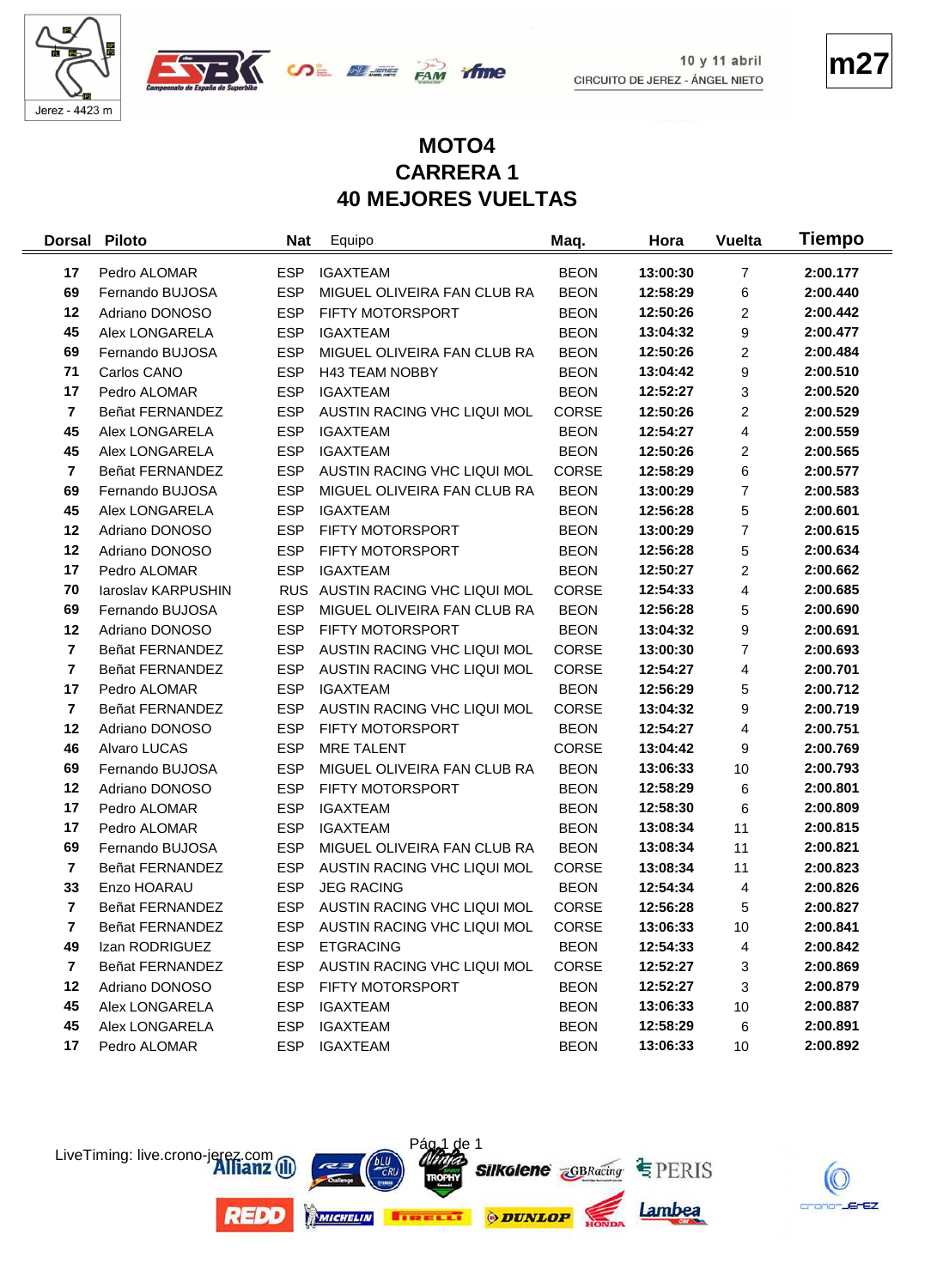





**m27**

## **MOTO4 CARRERA 1 40 MEJORES VUELTAS**

*ifme* 

| <b>Dorsal</b>           | Piloto             | <b>Nat</b> | Equipo                      | Maq.         | Hora     | <b>Vuelta</b>  | Tiempo   |
|-------------------------|--------------------|------------|-----------------------------|--------------|----------|----------------|----------|
| 17                      | Pedro ALOMAR       | <b>ESP</b> | <b>IGAXTEAM</b>             | <b>BEON</b>  | 13:00:30 | $\overline{7}$ | 2:00.177 |
| 69                      | Fernando BUJOSA    | <b>ESP</b> | MIGUEL OLIVEIRA FAN CLUB RA | <b>BEON</b>  | 12:58:29 | 6              | 2:00.440 |
| 12                      | Adriano DONOSO     | <b>ESP</b> | FIFTY MOTORSPORT            | <b>BEON</b>  | 12:50:26 | 2              | 2:00.442 |
| 45                      | Alex LONGARELA     | <b>ESP</b> | <b>IGAXTEAM</b>             | <b>BEON</b>  | 13:04:32 | 9              | 2:00.477 |
| 69                      | Fernando BUJOSA    | <b>ESP</b> | MIGUEL OLIVEIRA FAN CLUB RA | <b>BEON</b>  | 12:50:26 | 2              | 2:00.484 |
| 71                      | Carlos CANO        | <b>ESP</b> | <b>H43 TEAM NOBBY</b>       | <b>BEON</b>  | 13:04:42 | 9              | 2:00.510 |
| 17                      | Pedro ALOMAR       | <b>ESP</b> | <b>IGAXTEAM</b>             | <b>BEON</b>  | 12:52:27 | 3              | 2:00.520 |
| $\overline{7}$          | Beñat FERNANDEZ    | <b>ESP</b> | AUSTIN RACING VHC LIQUI MOL | CORSE        | 12:50:26 | 2              | 2:00.529 |
| 45                      | Alex LONGARELA     | <b>ESP</b> | <b>IGAXTEAM</b>             | <b>BEON</b>  | 12:54:27 | 4              | 2:00.559 |
| 45                      | Alex LONGARELA     | <b>ESP</b> | <b>IGAXTEAM</b>             | <b>BEON</b>  | 12:50:26 | 2              | 2:00.565 |
| $\overline{7}$          | Beñat FERNANDEZ    | <b>ESP</b> | AUSTIN RACING VHC LIQUI MOL | CORSE        | 12:58:29 | 6              | 2:00.577 |
| 69                      | Fernando BUJOSA    | <b>ESP</b> | MIGUEL OLIVEIRA FAN CLUB RA | <b>BEON</b>  | 13:00:29 | 7              | 2:00.583 |
| 45                      | Alex LONGARELA     | <b>ESP</b> | <b>IGAXTEAM</b>             | <b>BEON</b>  | 12:56:28 | 5              | 2:00.601 |
| 12                      | Adriano DONOSO     | <b>ESP</b> | FIFTY MOTORSPORT            | <b>BEON</b>  | 13:00:29 | 7              | 2:00.615 |
| 12                      | Adriano DONOSO     | <b>ESP</b> | FIFTY MOTORSPORT            | <b>BEON</b>  | 12:56:28 | 5              | 2:00.634 |
| 17                      | Pedro ALOMAR       | <b>ESP</b> | <b>IGAXTEAM</b>             | <b>BEON</b>  | 12:50:27 | 2              | 2:00.662 |
| 70                      | laroslav KARPUSHIN | <b>RUS</b> | AUSTIN RACING VHC LIQUI MOL | CORSE        | 12:54:33 | 4              | 2:00.685 |
| 69                      | Fernando BUJOSA    | <b>ESP</b> | MIGUEL OLIVEIRA FAN CLUB RA | <b>BEON</b>  | 12:56:28 | 5              | 2:00.690 |
| 12                      | Adriano DONOSO     | <b>ESP</b> | FIFTY MOTORSPORT            | <b>BEON</b>  | 13:04:32 | 9              | 2:00.691 |
| $\overline{7}$          | Beñat FERNANDEZ    | <b>ESP</b> | AUSTIN RACING VHC LIQUI MOL | CORSE        | 13:00:30 | 7              | 2:00.693 |
| $\overline{\mathbf{r}}$ | Beñat FERNANDEZ    | <b>ESP</b> | AUSTIN RACING VHC LIQUI MOL | CORSE        | 12:54:27 | 4              | 2:00.701 |
| 17                      | Pedro ALOMAR       | <b>ESP</b> | <b>IGAXTEAM</b>             | <b>BEON</b>  | 12:56:29 | 5              | 2:00.712 |
| $\overline{7}$          | Beñat FERNANDEZ    | <b>ESP</b> | AUSTIN RACING VHC LIQUI MOL | CORSE        | 13:04:32 | 9              | 2:00.719 |
| 12                      | Adriano DONOSO     | <b>ESP</b> | FIFTY MOTORSPORT            | <b>BEON</b>  | 12:54:27 | 4              | 2:00.751 |
| 46                      | Alvaro LUCAS       | <b>ESP</b> | <b>MRE TALENT</b>           | CORSE        | 13:04:42 | 9              | 2:00.769 |
| 69                      | Fernando BUJOSA    | <b>ESP</b> | MIGUEL OLIVEIRA FAN CLUB RA | <b>BEON</b>  | 13:06:33 | 10             | 2:00.793 |
| 12                      | Adriano DONOSO     | <b>ESP</b> | FIFTY MOTORSPORT            | <b>BEON</b>  | 12:58:29 | 6              | 2:00.801 |
| 17                      | Pedro ALOMAR       | <b>ESP</b> | <b>IGAXTEAM</b>             | <b>BEON</b>  | 12:58:30 | 6              | 2:00.809 |
| 17                      | Pedro ALOMAR       | <b>ESP</b> | <b>IGAXTEAM</b>             | <b>BEON</b>  | 13:08:34 | 11             | 2:00.815 |
| 69                      | Fernando BUJOSA    | <b>ESP</b> | MIGUEL OLIVEIRA FAN CLUB RA | <b>BEON</b>  | 13:08:34 | 11             | 2:00.821 |
| 7                       | Beñat FERNANDEZ    | <b>ESP</b> | AUSTIN RACING VHC LIQUI MOL | <b>CORSE</b> | 13:08:34 | 11             | 2:00.823 |
| 33                      | Enzo HOARAU        | <b>ESP</b> | <b>JEG RACING</b>           | <b>BEON</b>  | 12:54:34 | 4              | 2:00.826 |
| $\overline{7}$          | Beñat FERNANDEZ    | <b>ESP</b> | AUSTIN RACING VHC LIQUI MOL | CORSE        | 12:56:28 | 5              | 2:00.827 |
| 7                       | Beñat FERNANDEZ    | ESP        | AUSTIN RACING VHC LIQUI MOL | CORSE        | 13:06:33 | 10             | 2:00.841 |
| 49                      | Izan RODRIGUEZ     | <b>ESP</b> | <b>ETGRACING</b>            | <b>BEON</b>  | 12:54:33 | 4              | 2:00.842 |
| 7                       | Beñat FERNANDEZ    | <b>ESP</b> | AUSTIN RACING VHC LIQUI MOL | CORSE        | 12:52:27 | 3              | 2:00.869 |
| 12                      | Adriano DONOSO     | <b>ESP</b> | <b>FIFTY MOTORSPORT</b>     | <b>BEON</b>  | 12:52:27 | 3              | 2:00.879 |
| 45                      | Alex LONGARELA     | <b>ESP</b> | <b>IGAXTEAM</b>             | <b>BEON</b>  | 13:06:33 | 10             | 2:00.887 |
| 45                      | Alex LONGARELA     | ESP        | <b>IGAXTEAM</b>             | <b>BEON</b>  | 12:58:29 | 6              | 2:00.891 |
| 17                      | Pedro ALOMAR       | ESP        | <b>IGAXTEAM</b>             | <b>BEON</b>  | 13:06:33 | 10             | 2:00.892 |



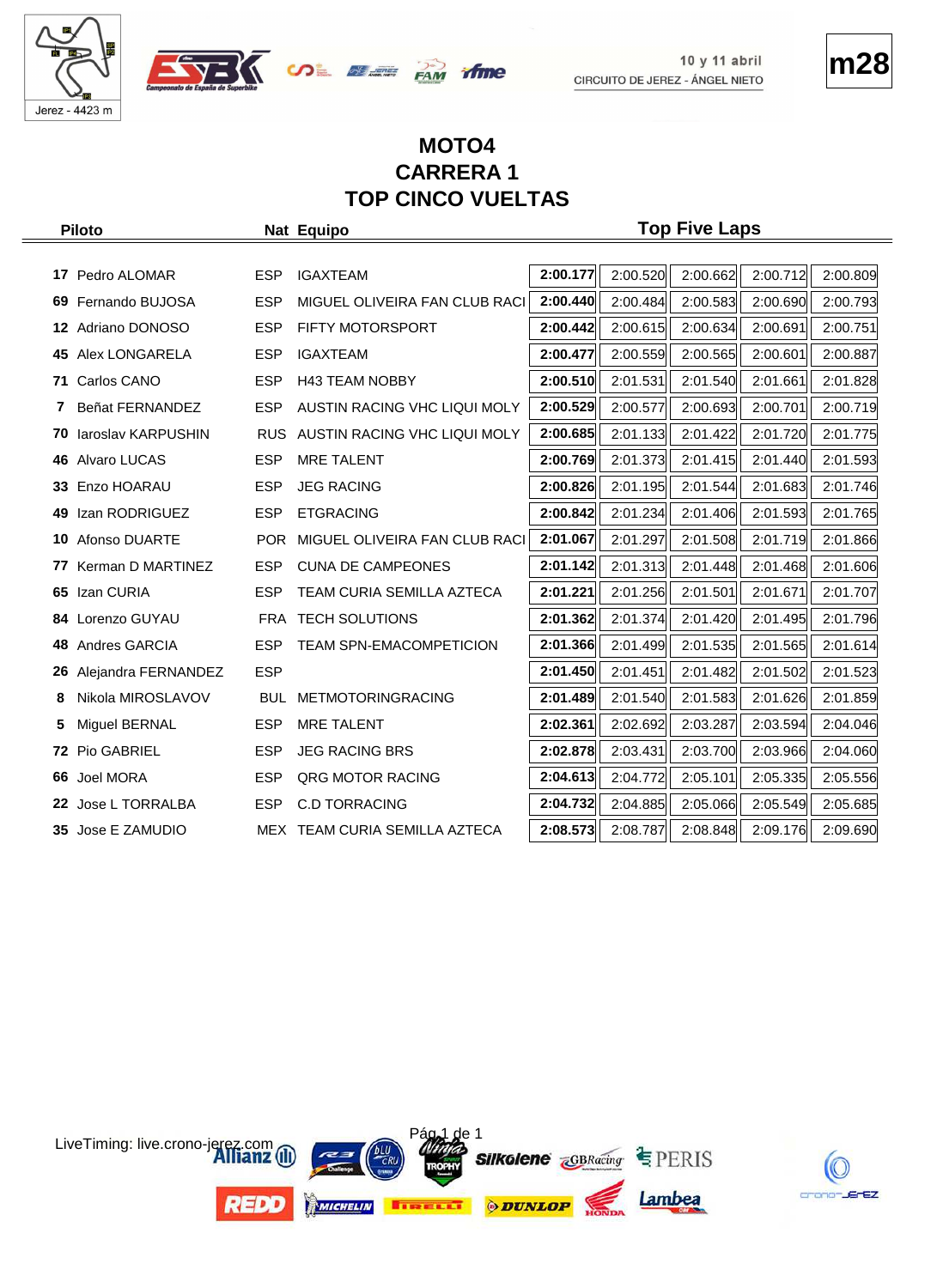

OF WE FAM TIME



## **MOTO4 CARRERA 1 TOP CINCO VUELTAS**

|     | <b>Piloto</b>       |            | Nat Equipo                     |          |          | <b>Top Five Laps</b> |          |          |
|-----|---------------------|------------|--------------------------------|----------|----------|----------------------|----------|----------|
|     |                     |            |                                |          |          |                      |          |          |
|     | 17 Pedro ALOMAR     | <b>ESP</b> | <b>IGAXTEAM</b>                | 2:00.177 | 2:00.520 | 2:00.662             | 2:00.712 | 2:00.809 |
| 69  | Fernando BUJOSA     | <b>ESP</b> | MIGUEL OLIVEIRA FAN CLUB RACI  | 2:00.440 | 2:00.484 | 2:00.583             | 2:00.690 | 2:00.793 |
|     | 12 Adriano DONOSO   | <b>ESP</b> | FIFTY MOTORSPORT               | 2:00.442 | 2:00.615 | 2:00.634             | 2:00.691 | 2:00.751 |
|     | 45 Alex LONGARELA   | <b>ESP</b> | <b>IGAXTEAM</b>                | 2:00.477 | 2:00.559 | 2:00.565             | 2:00.601 | 2:00.887 |
| 71. | Carlos CANO         | <b>ESP</b> | <b>H43 TEAM NOBBY</b>          | 2:00.510 | 2:01.531 | 2:01.540             | 2:01.661 | 2:01.828 |
| 7   | Beñat FERNANDEZ     | <b>ESP</b> | AUSTIN RACING VHC LIQUI MOLY   | 2:00.529 | 2:00.577 | 2:00.693             | 2:00.701 | 2:00.719 |
| 70. | laroslav KARPUSHIN  | <b>RUS</b> | AUSTIN RACING VHC LIQUI MOLY   | 2:00.685 | 2:01.133 | 2:01.422             | 2:01.720 | 2:01.775 |
|     | 46 Alvaro LUCAS     | <b>ESP</b> | <b>MRE TALENT</b>              | 2:00.769 | 2:01.373 | 2:01.415             | 2:01.440 | 2:01.593 |
| 33. | Enzo HOARAU         | <b>ESP</b> | <b>JEG RACING</b>              | 2:00.826 | 2:01.195 | 2:01.544             | 2:01.683 | 2:01.746 |
| 49  | Izan RODRIGUEZ      | <b>ESP</b> | <b>ETGRACING</b>               | 2:00.842 | 2:01.234 | 2:01.406             | 2:01.593 | 2:01.765 |
| 10  | Afonso DUARTE       | POR        | MIGUEL OLIVEIRA FAN CLUB RACI  | 2:01.067 | 2:01.297 | 2:01.508             | 2:01.719 | 2:01.866 |
| 77  | Kerman D MARTINEZ   | <b>ESP</b> | <b>CUNA DE CAMPEONES</b>       | 2:01.142 | 2:01.313 | 2:01.448             | 2:01.468 | 2:01.606 |
| 65  | Izan CURIA          | <b>ESP</b> | TEAM CURIA SEMILLA AZTECA      | 2:01.221 | 2:01.256 | 2:01.501             | 2:01.671 | 2:01.707 |
| 84  | Lorenzo GUYAU       | FRA        | <b>TECH SOLUTIONS</b>          | 2:01.362 | 2:01.374 | 2:01.420             | 2:01.495 | 2:01.796 |
| 48  | Andres GARCIA       | <b>ESP</b> | <b>TEAM SPN-EMACOMPETICION</b> | 2:01.366 | 2:01.499 | 2:01.535             | 2:01.565 | 2:01.614 |
| 26  | Alejandra FERNANDEZ | <b>ESP</b> |                                | 2:01.450 | 2:01.451 | 2:01.482             | 2:01.502 | 2:01.523 |
| 8   | Nikola MIROSLAVOV   | <b>BUL</b> | <b>METMOTORINGRACING</b>       | 2:01.489 | 2:01.540 | 2:01.583             | 2:01.626 | 2:01.859 |
| 5   | Miguel BERNAL       | <b>ESP</b> | <b>MRE TALENT</b>              | 2:02.361 | 2:02.692 | 2:03.287             | 2:03.594 | 2:04.046 |
|     | 72 Pio GABRIEL      | <b>ESP</b> | <b>JEG RACING BRS</b>          | 2:02.878 | 2:03.431 | 2:03.700             | 2:03.966 | 2:04.060 |
| 66  | <b>Joel MORA</b>    | <b>ESP</b> | <b>QRG MOTOR RACING</b>        | 2:04.613 | 2:04.772 | 2:05.101             | 2:05.335 | 2:05.556 |
|     | 22 Jose L TORRALBA  | <b>ESP</b> | <b>C.D TORRACING</b>           | 2:04.732 | 2:04.885 | 2:05.066             | 2:05.549 | 2:05.685 |
|     | 35 Jose E ZAMUDIO   |            | MEX TEAM CURIA SEMILLA AZTECA  | 2:08.573 | 2:08.787 | 2:08.848             | 2:09.176 | 2:09.690 |

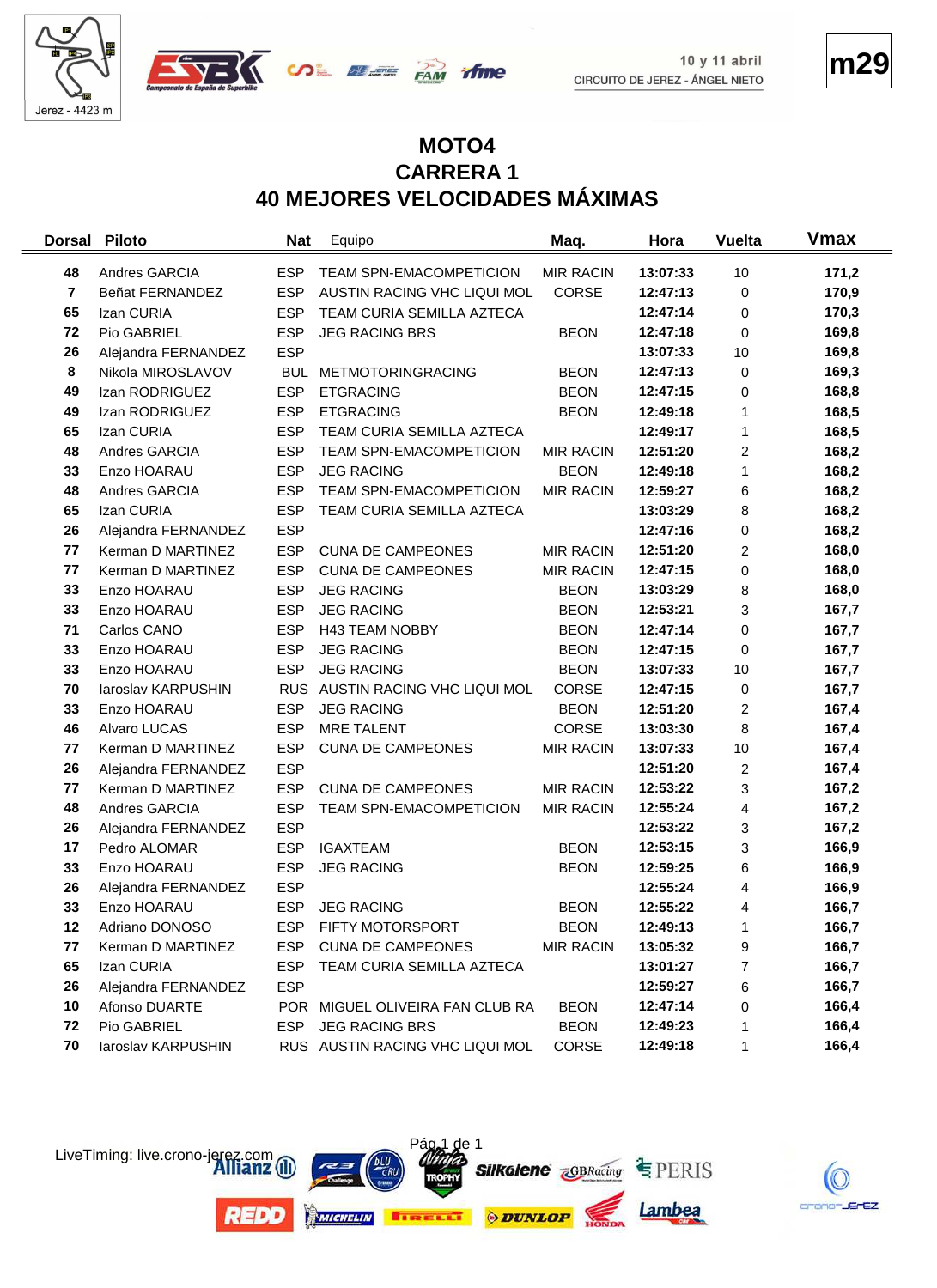





#### **MOTO4 CARRERA 1 40 MEJORES VELOCIDADES MÁXIMAS**

*frme* 

| <b>Dorsal</b>  | <b>Piloto</b>       | <b>Nat</b> | Equipo                          | Maq.             | Hora     | <b>Vuelta</b>  | <b>Vmax</b> |
|----------------|---------------------|------------|---------------------------------|------------------|----------|----------------|-------------|
| 48             | Andres GARCIA       | <b>ESP</b> | TEAM SPN-EMACOMPETICION         | <b>MIR RACIN</b> | 13:07:33 | 10             | 171,2       |
| $\overline{7}$ | Beñat FERNANDEZ     | <b>ESP</b> | AUSTIN RACING VHC LIQUI MOL     | CORSE            | 12:47:13 | 0              | 170,9       |
| 65             | Izan CURIA          | <b>ESP</b> | TEAM CURIA SEMILLA AZTECA       |                  | 12:47:14 | 0              | 170,3       |
| 72             | Pio GABRIEL         | <b>ESP</b> | <b>JEG RACING BRS</b>           | <b>BEON</b>      | 12:47:18 | 0              | 169,8       |
| 26             | Alejandra FERNANDEZ | <b>ESP</b> |                                 |                  | 13:07:33 | 10             | 169,8       |
| 8              | Nikola MIROSLAVOV   |            | BUL METMOTORINGRACING           | <b>BEON</b>      | 12:47:13 | 0              | 169,3       |
| 49             | Izan RODRIGUEZ      | <b>ESP</b> | <b>ETGRACING</b>                | <b>BEON</b>      | 12:47:15 | 0              | 168,8       |
| 49             | Izan RODRIGUEZ      | <b>ESP</b> | <b>ETGRACING</b>                | <b>BEON</b>      | 12:49:18 | 1              | 168,5       |
| 65             | Izan CURIA          | <b>ESP</b> | TEAM CURIA SEMILLA AZTECA       |                  | 12:49:17 | 1              | 168,5       |
| 48             | Andres GARCIA       | <b>ESP</b> | TEAM SPN-EMACOMPETICION         | <b>MIR RACIN</b> | 12:51:20 | $\overline{c}$ | 168,2       |
| 33             | Enzo HOARAU         | <b>ESP</b> | <b>JEG RACING</b>               | <b>BEON</b>      | 12:49:18 | 1              | 168,2       |
| 48             | Andres GARCIA       | <b>ESP</b> | TEAM SPN-EMACOMPETICION         | <b>MIR RACIN</b> | 12:59:27 | 6              | 168,2       |
| 65             | Izan CURIA          | <b>ESP</b> | TEAM CURIA SEMILLA AZTECA       |                  | 13:03:29 | 8              | 168,2       |
| 26             | Alejandra FERNANDEZ | <b>ESP</b> |                                 |                  | 12:47:16 | 0              | 168,2       |
| 77             | Kerman D MARTINEZ   | <b>ESP</b> | <b>CUNA DE CAMPEONES</b>        | <b>MIR RACIN</b> | 12:51:20 | $\overline{c}$ | 168,0       |
| 77             | Kerman D MARTINEZ   | <b>ESP</b> | <b>CUNA DE CAMPEONES</b>        | <b>MIR RACIN</b> | 12:47:15 | 0              | 168,0       |
| 33             | Enzo HOARAU         | <b>ESP</b> | <b>JEG RACING</b>               | <b>BEON</b>      | 13:03:29 | 8              | 168,0       |
| 33             | Enzo HOARAU         | <b>ESP</b> | <b>JEG RACING</b>               | <b>BEON</b>      | 12:53:21 | 3              | 167,7       |
| 71             | Carlos CANO         | <b>ESP</b> | <b>H43 TEAM NOBBY</b>           | <b>BEON</b>      | 12:47:14 | 0              | 167,7       |
| 33             | Enzo HOARAU         | <b>ESP</b> | <b>JEG RACING</b>               | <b>BEON</b>      | 12:47:15 | 0              | 167,7       |
| 33             | Enzo HOARAU         | <b>ESP</b> | <b>JEG RACING</b>               | <b>BEON</b>      | 13:07:33 | 10             | 167,7       |
| 70             | laroslav KARPUSHIN  |            | RUS AUSTIN RACING VHC LIQUI MOL | <b>CORSE</b>     | 12:47:15 | 0              | 167,7       |
| 33             | Enzo HOARAU         | <b>ESP</b> | <b>JEG RACING</b>               | <b>BEON</b>      | 12:51:20 | 2              | 167,4       |
| 46             | Alvaro LUCAS        | <b>ESP</b> | <b>MRE TALENT</b>               | CORSE            | 13:03:30 | 8              | 167,4       |
| 77             | Kerman D MARTINEZ   | <b>ESP</b> | <b>CUNA DE CAMPEONES</b>        | <b>MIR RACIN</b> | 13:07:33 | 10             | 167,4       |
| 26             | Alejandra FERNANDEZ | <b>ESP</b> |                                 |                  | 12:51:20 | $\overline{c}$ | 167,4       |
| 77             | Kerman D MARTINEZ   | <b>ESP</b> | <b>CUNA DE CAMPEONES</b>        | <b>MIR RACIN</b> | 12:53:22 | 3              | 167,2       |
| 48             | Andres GARCIA       | <b>ESP</b> | TEAM SPN-EMACOMPETICION         | <b>MIR RACIN</b> | 12:55:24 | 4              | 167,2       |
| 26             | Alejandra FERNANDEZ | <b>ESP</b> |                                 |                  | 12:53:22 | 3              | 167,2       |
| 17             | Pedro ALOMAR        | <b>ESP</b> | <b>IGAXTEAM</b>                 | <b>BEON</b>      | 12:53:15 | 3              | 166,9       |
| 33             | Enzo HOARAU         | <b>ESP</b> | <b>JEG RACING</b>               | <b>BEON</b>      | 12:59:25 | 6              | 166,9       |
| 26             | Alejandra FERNANDEZ | <b>ESP</b> |                                 |                  | 12:55:24 | 4              | 166,9       |
| 33             | Enzo HOARAU         | <b>ESP</b> | <b>JEG RACING</b>               | <b>BEON</b>      | 12:55:22 | 4              | 166,7       |
| 12             | Adriano DONOSO      | ESP        | FIFTY MOTORSPORT                | <b>BEON</b>      | 12:49:13 | 1              | 166,7       |
| 77             | Kerman D MARTINEZ   | ESP        | <b>CUNA DE CAMPEONES</b>        | <b>MIR RACIN</b> | 13:05:32 | 9              | 166,7       |
| 65             | Izan CURIA          | <b>ESP</b> | TEAM CURIA SEMILLA AZTECA       |                  | 13:01:27 | 7              | 166,7       |
| 26             | Alejandra FERNANDEZ | <b>ESP</b> |                                 |                  | 12:59:27 | 6              | 166,7       |
| 10             | Afonso DUARTE       |            | POR MIGUEL OLIVEIRA FAN CLUB RA | <b>BEON</b>      | 12:47:14 | 0              | 166,4       |
| 72             | Pio GABRIEL         | <b>ESP</b> | <b>JEG RACING BRS</b>           | <b>BEON</b>      | 12:49:23 | 1              | 166,4       |
| 70             | laroslav KARPUSHIN  |            | RUS AUSTIN RACING VHC LIQUI MOL | CORSE            | 12:49:18 | 1              | 166,4       |



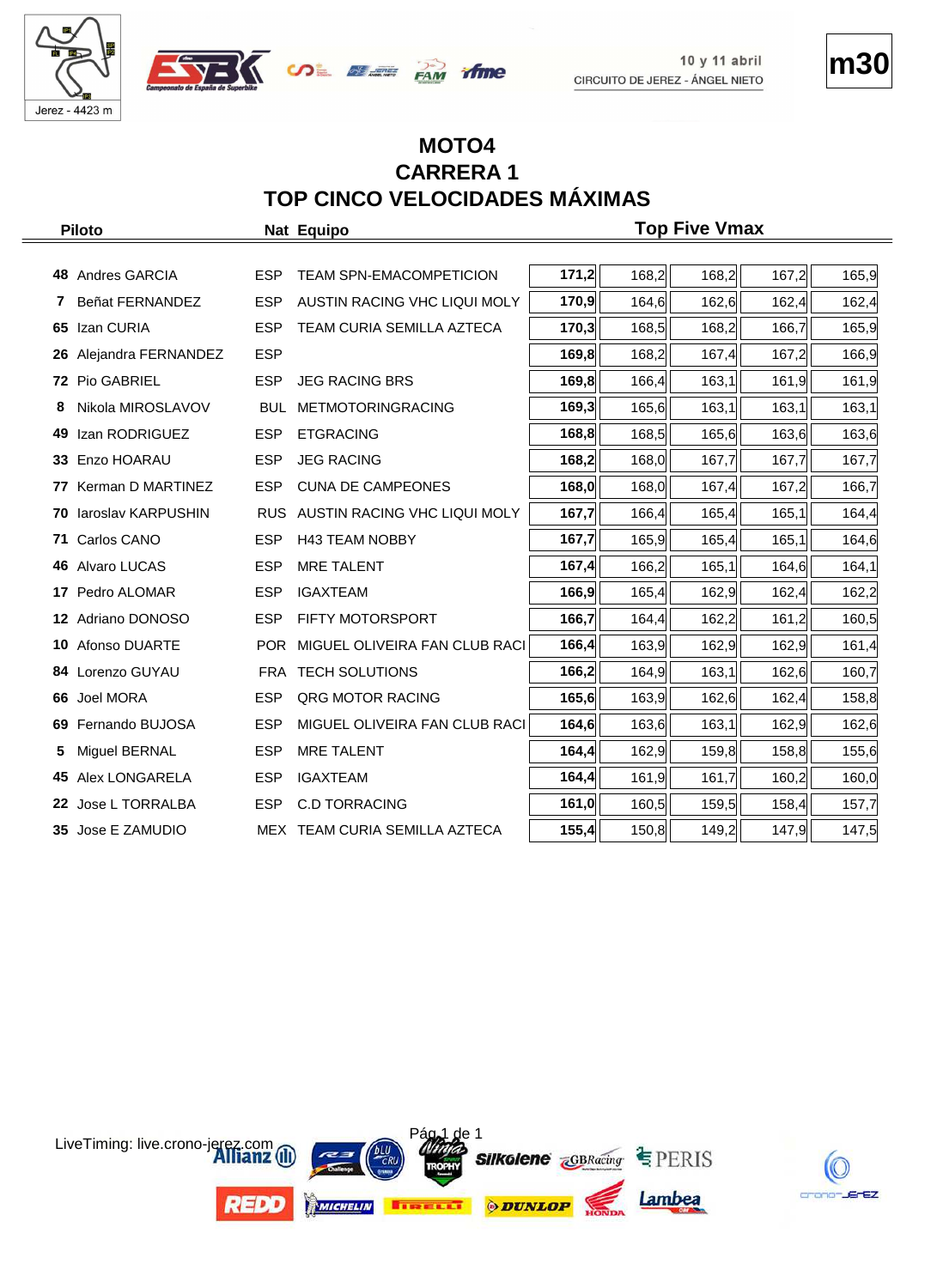





## **MOTO4 CARRERA 1 TOP CINCO VELOCIDADES MÁXIMAS**

|     | <b>Piloto</b>       |            | Nat Equipo                        |       |       | <b>Top Five Vmax</b> |       |       |
|-----|---------------------|------------|-----------------------------------|-------|-------|----------------------|-------|-------|
|     |                     |            |                                   |       |       |                      |       |       |
|     | 48 Andres GARCIA    | <b>ESP</b> | TEAM SPN-EMACOMPETICION           | 171,2 | 168,2 | 168,2                | 167,2 | 165,9 |
| 7   | Beñat FERNANDEZ     | <b>ESP</b> | AUSTIN RACING VHC LIQUI MOLY      | 170,9 | 164,6 | 162,6                | 162,4 | 162,4 |
| 65  | Izan CURIA          | <b>ESP</b> | TEAM CURIA SEMILLA AZTECA         | 170,3 | 168,5 | 168,2                | 166,7 | 165,9 |
| 26  | Alejandra FERNANDEZ | <b>ESP</b> |                                   | 169,8 | 168,2 | 167,4                | 167,2 | 166,9 |
|     | 72 Pio GABRIEL      | <b>ESP</b> | <b>JEG RACING BRS</b>             | 169,8 | 166,4 | 163,1                | 161,9 | 161,9 |
| 8   | Nikola MIROSLAVOV   | <b>BUL</b> | <b>METMOTORINGRACING</b>          | 169,3 | 165,6 | 163,1                | 163,1 | 163,1 |
| 49  | Izan RODRIGUEZ      | <b>ESP</b> | <b>ETGRACING</b>                  | 168,8 | 168,5 | 165,6                | 163,6 | 163,6 |
| 33  | Enzo HOARAU         | <b>ESP</b> | <b>JEG RACING</b>                 | 168,2 | 168,0 | 167,7                | 167,7 | 167,7 |
| 77  | Kerman D MARTINEZ   | <b>ESP</b> | <b>CUNA DE CAMPEONES</b>          | 168,0 | 168,0 | 167,4                | 167,2 | 166,7 |
| 70  | laroslav KARPUSHIN  |            | RUS AUSTIN RACING VHC LIQUI MOLY  | 167,7 | 166,4 | 165,4                | 165,1 | 164,4 |
| 71  | Carlos CANO         | <b>ESP</b> | <b>H43 TEAM NOBBY</b>             | 167,7 | 165,9 | 165,4                | 165,1 | 164,6 |
|     | 46 Alvaro LUCAS     | <b>ESP</b> | <b>MRE TALENT</b>                 | 167,4 | 166,2 | 165,1                | 164,6 | 164,1 |
| 17  | Pedro ALOMAR        | <b>ESP</b> | <b>IGAXTEAM</b>                   | 166,9 | 165,4 | 162,9                | 162,4 | 162,2 |
|     | 12 Adriano DONOSO   | <b>ESP</b> | FIFTY MOTORSPORT                  | 166,7 | 164,4 | 162,2                | 161,2 | 160,5 |
| 10  | Afonso DUARTE       |            | POR MIGUEL OLIVEIRA FAN CLUB RACI | 166,4 | 163,9 | 162,9                | 162,9 | 161,4 |
|     | 84 Lorenzo GUYAU    |            | <b>FRA TECH SOLUTIONS</b>         | 166,2 | 164,9 | 163,1                | 162,6 | 160,7 |
|     | 66 Joel MORA        | <b>ESP</b> | <b>QRG MOTOR RACING</b>           | 165,6 | 163,9 | 162,6                | 162,4 | 158,8 |
| 69. | Fernando BUJOSA     | <b>ESP</b> | MIGUEL OLIVEIRA FAN CLUB RACI     | 164,6 | 163,6 | 163,1                | 162,9 | 162,6 |
|     | Miguel BERNAL       | <b>ESP</b> | <b>MRE TALENT</b>                 | 164,4 | 162,9 | 159,8                | 158,8 | 155,6 |
|     | 45 Alex LONGARELA   | <b>ESP</b> | <b>IGAXTEAM</b>                   | 164,4 | 161,9 | 161,7                | 160,2 | 160,0 |
|     | 22 Jose L TORRALBA  | <b>ESP</b> | <b>C.D TORRACING</b>              | 161,0 | 160,5 | 159,5                | 158,4 | 157,7 |
|     | 35 Jose E ZAMUDIO   |            | MEX TEAM CURIA SEMILLA AZTECA     | 155,4 | 150,8 | 149,2                | 147,9 | 147,5 |